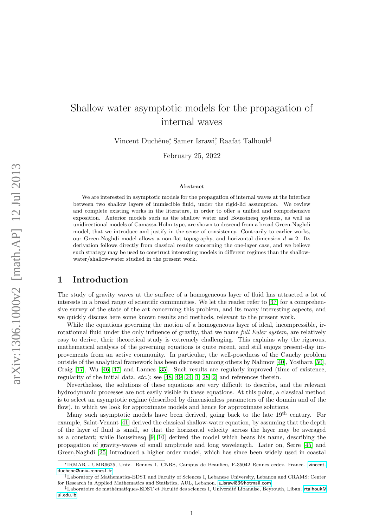# Shallow water asymptotic models for the propagation of internal waves

Vincent Duchêne;<sup>\*</sup> Samer Israwi<sup>†</sup> Raafat Talhouk<sup>‡</sup>

February 25, 2022

#### Abstract

We are interested in asymptotic models for the propagation of internal waves at the interface between two shallow layers of immiscible fluid, under the rigid-lid assumption. We review and complete existing works in the literature, in order to offer a unified and comprehensive exposition. Anterior models such as the shallow water and Boussinesq systems, as well as unidirectional models of Camassa-Holm type, are shown to descend from a broad Green-Naghdi model, that we introduce and justify in the sense of consistency. Contrarily to earlier works, our Green-Naghdi model allows a non-flat topography, and horizontal dimension  $d = 2$ . Its derivation follows directly from classical results concerning the one-layer case, and we believe such strategy may be used to construct interesting models in different regimes than the shallowwater/shallow-water studied in the present work.

## 1 Introduction

The study of gravity waves at the surface of a homogeneous layer of fluid has attracted a lot of interests in a broad range of scientific communities. We let the reader refer to [\[37\]](#page-27-0) for a comprehensive survey of the state of the art concerning this problem, and its many interesting aspects, and we quickly discuss here some known results and methods, relevant to the present work.

While the equations governing the motion of a homogeneous layer of ideal, incompressible, irrotationnal fluid under the only influence of gravity, that we name *full Euler system*, are relatively easy to derive, their theoretical study is extremely challenging. This explains why the rigorous, mathematical analysis of the governing equations is quite recent, and still enjoys present-day improvements from an active community. In particular, the well-posedness of the Cauchy problem outside of the analytical framework has been discussed among others by Nalimov [\[40\]](#page-27-1), Yosihara [\[50\]](#page-27-2), Craig [\[17\]](#page-26-0), Wu [\[46,](#page-27-3) [47\]](#page-27-4) and Lannes [\[35\]](#page-27-5). Such results are regularly improved (time of existence, regularity of the initial data,  $etc.$ ); see [\[48,](#page-27-6) [49,](#page-27-7) [24,](#page-26-1) [1,](#page-25-0) [28,](#page-26-2) [2\]](#page-25-1) and references therein.

Nevertheless, the solutions of these equations are very difficult to describe, and the relevant hydrodynamic processes are not easily visible in these equations. At this point, a classical method is to select an asymptotic regime (described by dimensionless parameters of the domain and of the flow), in which we look for approximate models and hence for approximate solutions.

Many such asymptotic models have been derived, going back to the late  $19<sup>th</sup>$  century. For example, Saint-Venant [\[41\]](#page-27-8) derived the classical shallow-water equation, by assuming that the depth of the layer of fluid is small, so that the horizontal velocity across the layer may be averaged as a constant; while Boussinesq [\[9,](#page-25-2) [10\]](#page-25-3) derived the model which bears his name, describing the propagation of gravity-waves of small amplitude and long wavelength. Later on, Serre [\[45\]](#page-27-9) and Green,Naghdi [\[25\]](#page-26-3) introduced a higher order model, which has since been widely used in coastal

<sup>∗</sup>IRMAR - UMR6625, Univ. Rennes 1, CNRS, Campus de Beaulieu, F-35042 Rennes cedex, France. [vincent.](vincent.duchene@univ-rennes1.fr) [duchene@univ-rennes1.fr](vincent.duchene@univ-rennes1.fr)

<sup>†</sup>Laboratory of Mathematics-EDST and Faculty of Sciences I, Lebanese University, Lebanon and CRAMS: Center for Research in Applied Mathematics and Statistics, AUL, Lebanon. s\_[israwi83@hotmail.com](s_israwi83@hotmail.com)

<sup>&</sup>lt;sup>‡</sup>Laboratoire de mathématiques-EDST et Faculté des sciences I, Université Libanaise, Beyrouth, Liban. [rtalhouk@](rtalhouk@ul.edu.lb) [ul.edu.lb](rtalhouk@ul.edu.lb)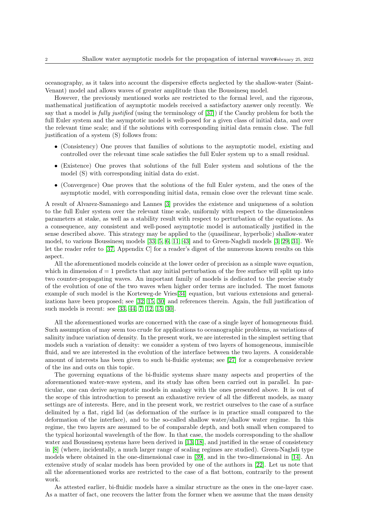oceanography, as it takes into account the dispersive effects neglected by the shallow-water (Saint-Venant) model and allows waves of greater amplitude than the Boussinesq model.

However, the previously mentioned works are restricted to the formal level, and the rigorous, mathematical justification of asymptotic models received a satisfactory answer only recently. We say that a model is fully justified (using the terminology of [\[37\]](#page-27-0)) if the Cauchy problem for both the full Euler system and the asymptotic model is well-posed for a given class of initial data, and over the relevant time scale; and if the solutions with corresponding initial data remain close. The full justification of a system (S) follows from:

- (Consistency) One proves that families of solutions to the asymptotic model, existing and controlled over the relevant time scale satisfies the full Euler system up to a small residual.
- (Existence) One proves that solutions of the full Euler system and solutions of the the model (S) with corresponding initial data do exist.
- (Convergence) One proves that the solutions of the full Euler system, and the ones of the asymptotic model, with corresponding initial data, remain close over the relevant time scale.

A result of Alvarez-Samaniego and Lannes [\[3\]](#page-25-4) provides the existence and uniqueness of a solution to the full Euler system over the relevant time scale, uniformly with respect to the dimensionless parameters at stake, as well as a stability result with respect to perturbation of the equations. As a consequence, any consistent and well-posed asymptotic model is automatically justified in the sense described above. This strategy may be applied to the (quasilinear, hyperbolic) shallow-water model, to various Boussinesq models [\[33,](#page-27-10) [5,](#page-25-5) [6,](#page-25-6) [11,](#page-25-7) [43\]](#page-27-11) and to Green-Naghdi models [\[3,](#page-25-4) [29,](#page-26-4) [31\]](#page-26-5). We let the reader refer to [\[37,](#page-27-0) Appendix C] for a reader's digest of the numerous known results on this aspect.

All the aforementioned models coincide at the lower order of precision as a simple wave equation, which in dimension  $d = 1$  predicts that any initial perturbation of the free surface will split up into two counter-propagating waves. An important family of models is dedicated to the precise study of the evolution of one of the two waves when higher order terms are included. The most famous example of such model is the Korteweg-de Vries[\[34\]](#page-27-12) equation, but various extensions and generalizations have been proposed; see [\[32,](#page-26-6) [15,](#page-26-7) [30\]](#page-26-8) and references therein. Again, the full justification of such models is recent: see [\[33,](#page-27-10) [44,](#page-27-13) [7,](#page-25-8) [12,](#page-26-9) [15,](#page-26-7) [30\]](#page-26-8).

All the aforementioned works are concerned with the case of a single layer of homogeneous fluid. Such assumption of may seem too crude for applications to oceanographic problems, as variations of salinity induce variation of density. In the present work, we are interested in the simplest setting that models such a variation of density: we consider a system of two layers of homogeneous, immiscible fluid, and we are interested in the evolution of the interface between the two layers. A considerable amount of interests has been given to such bi-fluidic systems; see [\[27\]](#page-26-10) for a comprehensive review of the ins and outs on this topic.

The governing equations of the bi-fluidic systems share many aspects and properties of the aforementioned water-wave system, and its study has often been carried out in parallel. In particular, one can derive asymptotic models in analogy with the ones presented above. It is out of the scope of this introduction to present an exhaustive review of all the different models, as many settings are of interests. Here, and in the present work, we restrict ourselves to the case of a surface delimited by a flat, rigid lid (as deformation of the surface is in practice small compared to the deformation of the interface), and to the so-called shallow water/shallow water regime. In this regime, the two layers are assumed to be of comparable depth, and both small when compared to the typical horizontal wavelength of the flow. In that case, the models corresponding to the shallow water and Boussinesq systems have been derived in [\[13,](#page-26-11) [18\]](#page-26-12), and justified in the sense of consistency in [\[8\]](#page-25-9) (where, incidentally, a much larger range of scaling regimes are studied). Green-Naghdi type models where obtained in the one-dimensional case in [\[39\]](#page-27-14), and in the two-dimensional in [\[14\]](#page-26-13). An extensive study of scalar models has been provided by one of the authors in [\[22\]](#page-26-14). Let us note that all the aforementioned works are restricted to the case of a flat bottom, contrarily to the present work.

As attested earlier, bi-fluidic models have a similar structure as the ones in the one-layer case. As a matter of fact, one recovers the latter from the former when we assume that the mass density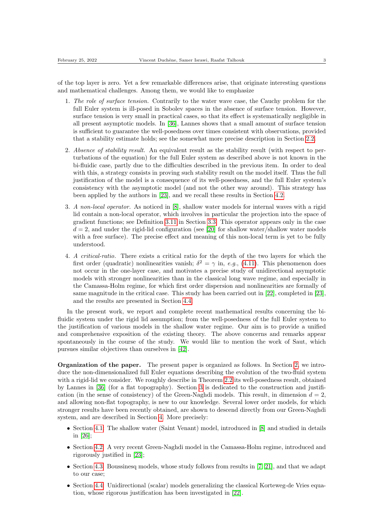of the top layer is zero. Yet a few remarkable differences arise, that originate interesting questions and mathematical challenges. Among them, we would like to emphasize

- 1. The role of surface tension. Contrarily to the water wave case, the Cauchy problem for the full Euler system is ill-posed in Sobolev spaces in the absence of surface tension. However, surface tension is very small in practical cases, so that its effect is systematically negligible in all present asymptotic models. In [\[36\]](#page-27-15), Lannes shows that a small amount of surface tension is sufficient to guarantee the well-posedness over times consistent with observations, provided that a stability estimate holds; see the somewhat more precise description in Section [2.2.](#page-6-0)
- 2. Absence of stability result. An equivalent result as the stability result (with respect to perturbations of the equation) for the full Euler system as described above is not known in the bi-fluidic case, partly due to the difficulties described in the previous item. In order to deal with this, a strategy consists in proving such stability result on the model itself. Thus the full justification of the model is a consequence of its well-posedness, and the full Euler system's consistency with the asymptotic model (and not the other way around). This strategy has been applied by the authors in [\[23\]](#page-26-15), and we recall these results in Section [4.2.](#page-17-0)
- 3. A non-local operator. As noticed in [\[8\]](#page-25-9), shallow water models for internal waves with a rigid lid contain a non-local operator, which involves in particular the projection into the space of gradient functions; see Definition [3.11](#page-12-0) in Section [3.3.](#page-10-0) This operator appears only in the case  $d = 2$ , and under the rigid-lid configuration (see [\[20\]](#page-26-16) for shallow water/shallow water models with a free surface). The precise effect and meaning of this non-local term is yet to be fully understood.
- 4. A critical-ratio. There exists a critical ratio for the depth of the two layers for which the first order (quadratic) nonlinearities vanish;  $\delta^2 = \gamma$  in, e.g., [\(4.11\)](#page-17-1). This phenomenon does not occur in the one-layer case, and motivates a precise study of unidirectional asymptotic models with stronger nonlinearities than in the classical long wave regime, and especially in the Camassa-Holm regime, for which first order dispersion and nonlinearities are formally of same magnitude in the critical case. This study has been carried out in [\[22\]](#page-26-14), completed in [\[23\]](#page-26-15), and the results are presented in Section [4.4.](#page-23-0)

In the present work, we report and complete recent mathematical results concerning the bifluidic system under the rigid lid assumption; from the well-posedness of the full Euler system to the justification of various models in the shallow water regime. Our aim is to provide a unified and comprehensive exposition of the existing theory. The above concerns and remarks appear spontaneously in the course of the study. We would like to mention the work of Saut, which pursues similar objectives than ourselves in [\[42\]](#page-27-16).

Organization of the paper. The present paper is organized as follows. In Section [2,](#page-4-0) we introduce the non-dimensionalized full Euler equations describing the evolution of the two-fluid system with a rigid-lid we consider. We roughly describe in Theorem [2.2](#page-7-0) its well-posedness result, obtained by Lannes in [\[36\]](#page-27-15) (for a flat topography). Section [3](#page-7-1) is dedicated to the construction and justification (in the sense of consistency) of the Green-Naghdi models. This result, in dimension  $d = 2$ , and allowing non-flat topography, is new to our knowledge. Several lower order models, for which stronger results have been recently obtained, are shown to descend directly from our Green-Naghdi system, and are described in Section [4.](#page-15-0) More precisely:

- Section [4.1:](#page-15-1) The shallow water (Saint Venant) model, introduced in [\[8\]](#page-25-9) and studied in details in [\[26\]](#page-26-17);
- Section [4.2:](#page-17-0) A very recent Green-Naghdi model in the Camassa-Holm regime, introduced and rigorously justified in [\[23\]](#page-26-15);
- Section [4.3:](#page-19-0) Boussinesq models, whose study follows from results in [\[7,](#page-25-8) [21\]](#page-26-18), and that we adapt to our case;
- Section [4.4:](#page-23-0) Unidirectional (scalar) models generalizing the classical Korteweg-de Vries equation, whose rigorous justification has been investigated in [\[22\]](#page-26-14).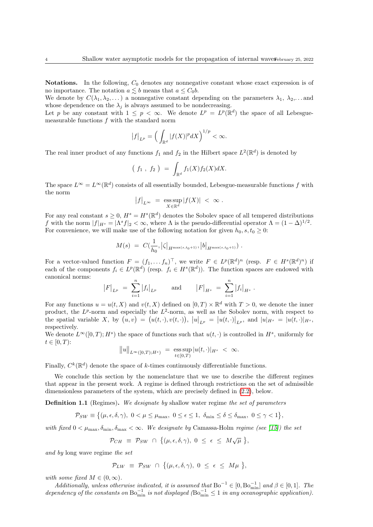**Notations.** In the following,  $C_0$  denotes any nonnegative constant whose exact expression is of no importance. The notation  $a \lesssim b$  means that  $a \leq C_0 b$ .

We denote by  $C(\lambda_1, \lambda_2, \dots)$  a nonnegative constant depending on the parameters  $\lambda_1, \lambda_2, \dots$  and whose dependence on the  $\lambda_i$  is always assumed to be nondecreasing.

Let p be any constant with  $1 \leq p < \infty$ . We denote  $L^p = L^p(\mathbb{R}^d)$  the space of all Lebesguemeasurable functions f with the standard norm

$$
\big|f\big|_{L^p}=\Big(\int_{\mathbb{R}^d}|f(X)|^pdX\Big)^{1/p}<\infty.
$$

The real inner product of any functions  $f_1$  and  $f_2$  in the Hilbert space  $L^2(\mathbb{R}^d)$  is denoted by

$$
(f_1, f_2) = \int_{\mathbb{R}^d} f_1(X) f_2(X) dX.
$$

The space  $L^{\infty} = L^{\infty}(\mathbb{R}^d)$  consists of all essentially bounded, Lebesgue-measurable functions f with the norm

$$
\left|f\right|_{L^{\infty}} = \operatorname*{ess\,sup}_{X \in \mathbb{R}^d} \left|f(X)\right| < \infty \; .
$$

For any real constant  $s \geq 0$ ,  $H^s = H^s(\mathbb{R}^d)$  denotes the Sobolev space of all tempered distributions f with the norm  $|f|_{H^s} = |\Lambda^s f|_2 < \infty$ , where  $\Lambda$  is the pseudo-differential operator  $\Lambda = (1 - \Delta)^{1/2}$ . For convenience, we will make use of the following notation for given  $h_0, s, t_0 \geq 0$ :

$$
M(s) = C(\frac{1}{h_0}, |\zeta|_{H^{\max(s,t_0+1)}}, |b|_{H^{\max(s,t_0+1)}}).
$$

For a vector-valued function  $F = (f_1, \ldots, f_n)^\top$ , we write  $F \in L^p(\mathbb{R}^d)^n$  (resp.  $F \in H^s(\mathbb{R}^d)^n$ ) if each of the components  $f_i \in L^p(\mathbb{R}^d)$  (resp.  $f_i \in H^s(\mathbb{R}^d)$ ). The function spaces are endowed with canonical norms:

$$
|F|_{L^p} = \sum_{i=1}^n |f_i|_{L^p}
$$
 and  $|F|_{H^s} = \sum_{i=1}^n |f_i|_{H^s}$ .

For any functions  $u = u(t, X)$  and  $v(t, X)$  defined on  $[0, T) \times \mathbb{R}^d$  with  $T > 0$ , we denote the inner product, the  $L^p$ -norm and especially the  $L^2$ -norm, as well as the Sobolev norm, with respect to the spatial variable X, by  $(u, v) = (u(t, \cdot), v(t, \cdot)), |u|_{L^p} = |u(t, \cdot)|_{L^p}$ , and  $|u|_{H^s} = |u(t, \cdot)|_{H^s}$ , respectively.

We denote  $L^{\infty}([0,T); H^s)$  the space of functions such that  $u(t, \cdot)$  is controlled in  $H^s$ , uniformly for  $t \in [0, T)$ :

$$
||u||_{L^{\infty}([0,T);H^{s})} = \operatorname*{ess\,sup}_{t\in[0,T)} |u(t,\cdot)|_{H^{s}} < \infty.
$$

Finally,  $C^k(\mathbb{R}^d)$  denote the space of k-times continuously differentiable functions.

We conclude this section by the nomenclature that we use to describe the different regimes that appear in the present work. A regime is defined through restrictions on the set of admissible dimensionless parameters of the system, which are precisely defined in [\(2.2\)](#page-5-0), below.

<span id="page-3-0"></span>**Definition 1.1** (Regimes). We designate by shallow water regime the set of parameters

$$
\mathcal{P}_{SW} \equiv \big\{ (\mu, \epsilon, \delta, \gamma), \ 0 < \mu \le \mu_{\max}, \ 0 \le \epsilon \le 1, \ \delta_{\min} \le \delta \le \delta_{\max}, \ 0 \le \gamma < 1 \big\},\
$$

with fixed  $0 < \mu_{\text{max}}, \delta_{\text{min}}, \delta_{\text{max}} < \infty$ . We designate by Camassa-Holm regime (see [\[15\]](#page-26-7)) the set

$$
\mathcal{P}_{CH} \equiv \mathcal{P}_{SW} \cap \{(\mu, \epsilon, \delta, \gamma), 0 \leq \epsilon \leq M \sqrt{\mu}\},
$$

and by long wave regime the set

$$
\mathcal{P}_{LW} \equiv \mathcal{P}_{SW} \cap \{(\mu, \epsilon, \delta, \gamma), 0 \leq \epsilon \leq M\mu \},
$$

with some fixed  $M \in (0, \infty)$ .

Additionally, unless otherwise indicated, it is assumed that  $Bo^{-1} \in [0, Bo^{-1}_{min}]$  and  $\beta \in [0,1]$ . The dependency of the constants on  $Bo^{-1}_{min}$  is not displayed  $(Bo^{-1}_{min} \leq 1$  in any oceanographic application).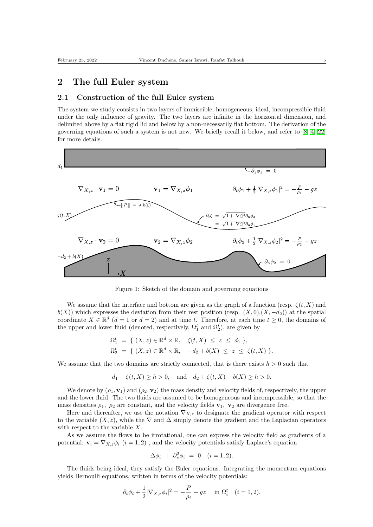## <span id="page-4-0"></span>2 The full Euler system

#### 2.1 Construction of the full Euler system

The system we study consists in two layers of immiscible, homogeneous, ideal, incompressible fluid under the only influence of gravity. The two layers are infinite in the horizontal dimension, and delimited above by a flat rigid lid and below by a non-necessarily flat bottom. The derivation of the governing equations of such a system is not new. We briefly recall it below, and refer to [\[8,](#page-25-9) [4,](#page-25-10) [22\]](#page-26-14) for more details.



Figure 1: Sketch of the domain and governing equations

We assume that the interface and bottom are given as the graph of a function (resp.  $\zeta(t, X)$ ) and  $b(X)$ ) which expresses the deviation from their rest position (resp.  $(X, 0)$ , $(X, -d_2)$ ) at the spatial coordinate  $X \in \mathbb{R}^d$   $(d=1 \text{ or } d=2)$  and at time t. Therefore, at each time  $t \geq 0$ , the domains of the upper and lower fluid (denoted, respectively,  $\Omega_1^t$  and  $\Omega_2^t$ ), are given by

$$
\Omega_1^t = \{ (X, z) \in \mathbb{R}^d \times \mathbb{R}, \quad \zeta(t, X) \leq z \leq d_1 \},
$$
  

$$
\Omega_2^t = \{ (X, z) \in \mathbb{R}^d \times \mathbb{R}, \quad -d_2 + b(X) \leq z \leq \zeta(t, X) \}.
$$

We assume that the two domains are strictly connected, that is there exists  $h > 0$  such that

$$
d_1 - \zeta(t, X) \ge h > 0
$$
, and  $d_2 + \zeta(t, X) - b(X) \ge h > 0$ .

We denote by  $(\rho_1, \mathbf{v}_1)$  and  $(\rho_2, \mathbf{v}_2)$  the mass density and velocity fields of, respectively, the upper and the lower fluid. The two fluids are assumed to be homogeneous and incompressible, so that the mass densities  $\rho_1$ ,  $\rho_2$  are constant, and the velocity fields  $\mathbf{v}_1$ ,  $\mathbf{v}_2$  are divergence free.

Here and thereafter, we use the notation  $\nabla_{X,z}$  to designate the gradient operator with respect to the variable  $(X, z)$ , while the  $\nabla$  and  $\Delta$  simply denote the gradient and the Laplacian operators with respect to the variable X.

As we assume the flows to be irrotational, one can express the velocity field as gradients of a potential:  $\mathbf{v}_i = \nabla_{X_i} \phi_i$   $(i = 1, 2)$ , and the velocity potentials satisfy Laplace's equation

$$
\Delta \phi_i + \partial_z^2 \phi_i = 0 \quad (i = 1, 2).
$$

The fluids being ideal, they satisfy the Euler equations. Integrating the momentum equations yields Bernoulli equations, written in terms of the velocity potentials:

$$
\partial_t \phi_i + \frac{1}{2} |\nabla_{X,z} \phi_i|^2 = -\frac{P}{\rho_i} - gz \quad \text{in } \Omega_i^t \quad (i = 1, 2),
$$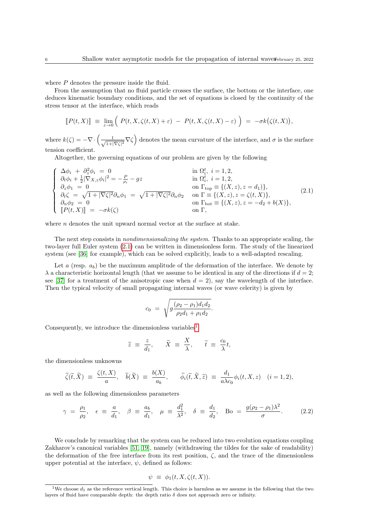where  $P$  denotes the pressure inside the fluid.

From the assumption that no fluid particle crosses the surface, the bottom or the interface, one deduces kinematic boundary conditions, and the set of equations is closed by the continuity of the stress tensor at the interface, which reads

$$
[P(t,X)] \equiv \lim_{\varepsilon \to 0} \left( P(t,X,\zeta(t,X)+\varepsilon) - P(t,X,\zeta(t,X)-\varepsilon) \right) = -\sigma k(\zeta(t,X)),
$$

where  $k(\zeta) = -\nabla \cdot \left( -\frac{1}{\zeta} \right)$  $\frac{1}{1+|\nabla\zeta|^2}\nabla\zeta$  denotes the mean curvature of the interface, and  $\sigma$  is the surface tension coefficient.

Altogether, the governing equations of our problem are given by the following

<span id="page-5-1"></span>
$$
\begin{cases}\n\Delta \phi_i + \frac{\partial^2 z}{\partial x \phi_i} = 0 & \text{in } \Omega_i^t, i = 1, 2, \\
\partial_t \phi_i + \frac{1}{2} |\nabla_{X,z} \phi_i|^2 = -\frac{P}{\rho_i} - gz & \text{in } \Omega_i^t, i = 1, 2, \\
\partial_z \phi_1 = 0 & \text{on } \Gamma_{\text{top}} \equiv \{ (X, z), z = d_1) \}, \\
\partial_t \zeta = \sqrt{1 + |\nabla \zeta|^2} \partial_n \phi_1 = \sqrt{1 + |\nabla \zeta|^2} \partial_n \phi_2 & \text{on } \Gamma \equiv \{ (X, z), z = \zeta(t, X) \}, \\
\partial_n \phi_2 = 0 & \text{on } \Gamma_{\text{bot}} \equiv \{ (X, z), z = -d_2 + b(X) \}, \\
[P(t, X)] = -\sigma k(\zeta) & \text{on } \Gamma, \\
\end{cases}
$$
\n(2.1)

where  $n$  denotes the unit upward normal vector at the surface at stake.

The next step consists in *nondimensionalizing the system*. Thanks to an appropriate scaling, the two-layer full Euler system [\(2.1\)](#page-5-1) can be written in dimensionless form. The study of the linearized system (see [\[36\]](#page-27-15) for example), which can be solved explicitly, leads to a well-adapted rescaling.

Let  $a$  (resp.  $a_b$ ) be the maximum amplitude of the deformation of the interface. We denote by  $\lambda$  a characteristic horizontal length (that we assume to be identical in any of the directions if  $d = 2$ ; see [\[37\]](#page-27-0) for a treatment of the anisotropic case when  $d = 2$ ), say the wavelength of the interface. Then the typical velocity of small propagating internal waves (or wave celerity) is given by

$$
c_0 = \sqrt{g \frac{(\rho_2 - \rho_1) d_1 d_2}{\rho_2 d_1 + \rho_1 d_2}}.
$$

Consequently, we introduce the dimensionless variables<sup>[1](#page-5-2)</sup>

$$
\widetilde{z} \equiv \frac{z}{d_1}, \quad \widetilde{X} \equiv \frac{X}{\lambda}, \quad \widetilde{t} \equiv \frac{c_0}{\lambda}t,
$$

the dimensionless unknowns

$$
\widetilde{\zeta}(\widetilde{t},\widetilde{X}) = \frac{\zeta(t,X)}{a}, \quad \widetilde{b}(\widetilde{X}) = \frac{b(X)}{a_b}, \qquad \widetilde{\phi}_i(\widetilde{t},\widetilde{X},\widetilde{z}) = \frac{d_1}{a\lambda c_0} \phi_i(t,X,z) \quad (i=1,2),
$$

as well as the following dimensionless parameters

<span id="page-5-0"></span>
$$
\gamma = \frac{\rho_1}{\rho_2}, \quad \epsilon \equiv \frac{a}{d_1}, \quad \beta \equiv \frac{a_b}{d_1}, \quad \mu \equiv \frac{d_1^2}{\lambda^2}, \quad \delta \equiv \frac{d_1}{d_2}, \quad \text{Bo} = \frac{g(\rho_2 - \rho_1)\lambda^2}{\sigma}.
$$
\n(2.2)

We conclude by remarking that the system can be reduced into two evolution equations coupling Zakharov's canonical variables [\[51,](#page-27-17) [19\]](#page-26-19), namely (withdrawing the tildes for the sake of readability) the deformation of the free interface from its rest position,  $\zeta$ , and the trace of the dimensionless upper potential at the interface,  $\psi$ , defined as follows:

$$
\psi \equiv \phi_1(t, X, \zeta(t, X)).
$$

<span id="page-5-2"></span><sup>&</sup>lt;sup>1</sup>We choose  $d_1$  as the reference vertical length. This choice is harmless as we assume in the following that the two layers of fluid have comparable depth: the depth ratio  $\delta$  does not approach zero or infinity.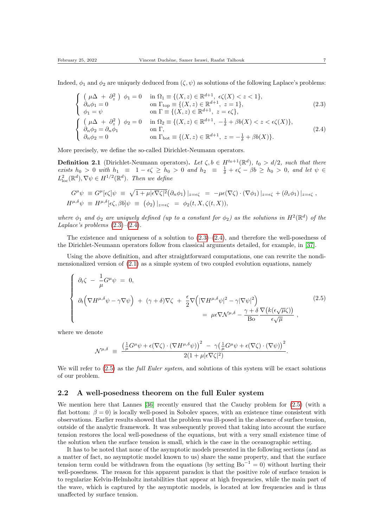Indeed,  $\phi_1$  and  $\phi_2$  are uniquely deduced from  $(\zeta, \psi)$  as solutions of the following Laplace's problems:

<span id="page-6-2"></span><span id="page-6-1"></span>
$$
\begin{cases}\n(\mu \Delta + \partial_z^2) & \phi_1 = 0 & \text{in } \Omega_1 \equiv \{(X, z) \in \mathbb{R}^{d+1}, \epsilon \zeta(X) < z < 1\}, \\
\partial_n \phi_1 = 0 & \text{on } \Gamma_{\text{top}} \equiv \{(X, z) \in \mathbb{R}^{d+1}, \ z = 1\}, \\
\phi_1 = \psi & \text{on } \Gamma \equiv \{(X, z) \in \mathbb{R}^{d+1}, \ z = \epsilon \zeta\}, \\
\begin{cases}\n(\mu \Delta + \partial_z^2) & \phi_2 = 0 & \text{in } \Omega_2 \equiv \{(X, z) \in \mathbb{R}^{d+1}, -\frac{1}{\delta} + \beta b(X) < z < \epsilon \zeta(X)\}, \\
\partial_n \phi_2 = \partial_n \phi_1 & \text{on } \Gamma, \\
\partial_n \phi_2 = 0 & \text{on } \Gamma_{\text{bot}} \equiv \{(X, z) \in \mathbb{R}^{d+1}, \ z = -\frac{1}{\delta} + \beta b(X)\}.\n\end{cases}
$$
\n(2.4)

More precisely, we define the so-called Dirichlet-Neumann operators.

**Definition 2.1** (Dirichlet-Neumann operators). Let  $\zeta, b \in H^{t_0+1}(\mathbb{R}^d)$ ,  $t_0 > d/2$ , such that there exists  $h_0 > 0$  with  $h_1 \equiv 1 - \epsilon \zeta \ge h_0 > 0$  and  $h_2 \equiv \frac{1}{\delta} + \epsilon \zeta - \beta b \ge h_0 > 0$ , and let  $\psi \in$  $L^2_{\text{loc}}(\mathbb{R}^d), \nabla \psi \in H^{1/2}(\mathbb{R}^d)$ . Then we define

$$
G^{\mu}\psi \equiv G^{\mu}[\epsilon\zeta]\psi \equiv \sqrt{1+\mu|\epsilon\nabla\zeta|^2}(\partial_n\phi_1)|_{z=\epsilon\zeta} = -\mu\epsilon(\nabla\zeta)\cdot(\nabla\phi_1)|_{z=\epsilon\zeta} + (\partial_z\phi_1)|_{z=\epsilon\zeta},
$$
  

$$
H^{\mu,\delta}\psi \equiv H^{\mu,\delta}[\epsilon\zeta,\beta b]\psi \equiv (\phi_2)|_{z=\epsilon\zeta} = \phi_2(t,X,\zeta(t,X)),
$$

where  $\phi_1$  and  $\phi_2$  are uniquely defined (up to a constant for  $\phi_2$ ) as the solutions in  $H^2(\mathbb{R}^d)$  of the Laplace's problems  $(2.3)$ – $(2.4)$ .

The existence and uniqueness of a solution to  $(2.3)$ – $(2.4)$ , and therefore the well-posedness of the Dirichlet-Neumann operators follow from classical arguments detailed, for example, in [\[37\]](#page-27-0).

Using the above definition, and after straightforward computations, one can rewrite the nondimensionalized version of  $(2.1)$  as a simple system of two coupled evolution equations, namely

<span id="page-6-3"></span>
$$
\begin{cases}\n\partial_t \zeta - \frac{1}{\mu} G^\mu \psi = 0, \\
\partial_t \Big( \nabla H^{\mu, \delta} \psi - \gamma \nabla \psi \Big) + (\gamma + \delta) \nabla \zeta + \frac{\epsilon}{2} \nabla \Big( |\nabla H^{\mu, \delta} \psi|^2 - \gamma |\nabla \psi|^2 \Big) \\
= \mu \epsilon \nabla \mathcal{N}^{\mu, \delta} - \frac{\gamma + \delta}{\text{Bo}} \frac{\nabla \big( k(\epsilon \sqrt{\mu} \zeta) \big)}{\epsilon \sqrt{\mu}},\n\end{cases} (2.5)
$$

where we denote

$$
\mathcal{N}^{\mu,\delta} \ \equiv \ \frac{\left(\frac{1}{\mu}G^{\mu}\psi + \epsilon(\nabla\zeta) \cdot (\nabla H^{\mu,\delta}\psi)\right)^2 \ - \ \gamma\left(\frac{1}{\mu}G^{\mu}\psi + \epsilon(\nabla\zeta) \cdot (\nabla\psi)\right)^2}{2(1+\mu|\epsilon\nabla\zeta|^2)}.
$$

We will refer to  $(2.5)$  as the *full Euler system*, and solutions of this system will be exact solutions of our problem.

#### <span id="page-6-0"></span>2.2 A well-posedness theorem on the full Euler system

We mention here that Lannes [\[36\]](#page-27-15) recently ensured that the Cauchy problem for [\(2.5\)](#page-6-3) (with a flat bottom:  $\beta = 0$ ) is locally well-posed in Sobolev spaces, with an existence time consistent with observations. Earlier results showed that the problem was ill-posed in the absence of surface tension, outside of the analytic framework. It was subsequently proved that taking into account the surface tension restores the local well-posedness of the equations, but with a very small existence time of the solution when the surface tension is small, which is the case in the oceanographic setting.

It has to be noted that none of the asymptotic models presented in the following sections (and as a matter of fact, no asymptotic model known to us) share the same property, and that the surface tension term could be withdrawn from the equations (by setting  $Bo^{-1} = 0$ ) without hurting their well-posedness. The reason for this apparent paradox is that the positive role of surface tension is to regularize Kelvin-Helmholtz instabilities that appear at high frequencies, while the main part of the wave, which is captured by the asymptotic models, is located at low frequencies and is thus unaffected by surface tension.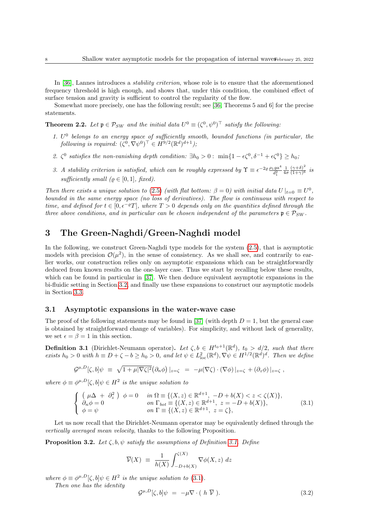In [\[36\]](#page-27-15), Lannes introduces a *stability criterion*, whose role is to ensure that the aforementioned frequency threshold is high enough, and shows that, under this condition, the combined effect of surface tension and gravity is sufficient to control the regularity of the flow.

Somewhat more precisely, one has the following result; see [\[36,](#page-27-15) Theorems 5 and 6] for the precise statements.

<span id="page-7-0"></span>**Theorem 2.2.** Let  $\mathfrak{p} \in \mathcal{P}_{SW}$  and the initial data  $U^0 \equiv (\zeta^0, \psi^0)^\top$  satisfy the following:

- 1.  $U^0$  belongs to an energy space of sufficiently smooth, bounded functions (in particular, the following is required:  $(\zeta^0, \nabla \psi^0)^\top \in H^{9/2}(\mathbb{R}^d)^{d+1}$ );
- 2.  $\zeta^0$  satisfies the non-vanishing depth condition:  $\exists h_0 > 0$ :  $\min\{1 \epsilon \zeta^0, \delta^{-1} + \epsilon \zeta^0\} \ge h_0$
- 3. A stability criterion is satisfied, which can be roughly expressed by  $\Upsilon \equiv \epsilon^{-2\rho} \frac{\rho_1 g a^4}{d_1^2}$  $\frac{1}{4\sigma}$  $(\gamma + \delta)^2$  $\frac{( \gamma+o)}{(1+\gamma)^6}$  is sufficiently small  $(\varrho \in [0, 1], \text{ fixed}).$

Then there exists a unique solution to [\(2.5\)](#page-6-3) (with flat bottom:  $\beta = 0$ ) with initial data  $U|_{t=0} \equiv U^0$ , bounded in the same energy space (no loss of derivatives). The flow is continuous with respect to time, and defined for  $t \in [0, \epsilon^{-\varrho}T]$ , where  $T > 0$  depends only on the quantities defined through the three above conditions, and in particular can be chosen independent of the parameters  $\mathfrak{p} \in \mathcal{P}_{SW}$ .

## <span id="page-7-1"></span>3 The Green-Naghdi/Green-Naghdi model

In the following, we construct Green-Naghdi type models for the system [\(2.5\)](#page-6-3), that is asymptotic models with precision  $\mathcal{O}(\mu^2)$ , in the sense of consistency. As we shall see, and contrarily to earlier works, our construction relies only on asymptotic expansions which can be straightforwardly deduced from known results on the one-layer case. Thus we start by recalling below these results, which can be found in particular in [\[37\]](#page-27-0). We then deduce equivalent asymptotic expansions in the bi-fluidic setting in Section [3.2,](#page-8-0) and finally use these expansions to construct our asymptotic models in Section [3.3.](#page-10-0)

#### 3.1 Asymptotic expansions in the water-wave case

The proof of the following statements may be found in [\[37\]](#page-27-0) (with depth  $D = 1$ , but the general case is obtained by straightforward change of variables). For simplicity, and without lack of generality, we set  $\epsilon = \beta = 1$  in this section.

<span id="page-7-2"></span>**Definition 3.1** (Dirichlet-Neumann operator). Let  $\zeta, b \in H^{t_0+1}(\mathbb{R}^d)$ ,  $t_0 > d/2$ , such that there exists  $h_0 > 0$  with  $h \equiv D + \zeta - b \geq h_0 > 0$ , and let  $\psi \in L^2_{loc}(\mathbb{R}^d), \nabla \psi \in H^{1/2}(\mathbb{R}^d)^d$ . Then we define

$$
\mathcal{G}^{\mu,D}[\zeta,b]\psi \equiv \sqrt{1+\mu|\nabla\zeta|^2}(\partial_n\phi)|_{z=\zeta} = -\mu(\nabla\zeta)\cdot(\nabla\phi)|_{z=\zeta} + (\partial_z\phi)|_{z=\zeta},
$$

where  $\phi \equiv \phi^{\mu,D}[\zeta, b] \psi \in H^2$  is the unique solution to

<span id="page-7-3"></span>
$$
\begin{cases}\n(\mu \Delta + \partial_z^2) & \phi = 0 & \text{in } \Omega \equiv \{ (X, z) \in \mathbb{R}^{d+1}, -D + b(X) < z < \zeta(X) \}, \\
\partial_n \phi = 0 & \text{on } \Gamma_{bot} \equiv \{ (X, z) \in \mathbb{R}^{d+1}, z = -D + b(X) \}, \\
\phi = \psi & \text{on } \Gamma \equiv \{ (X, z) \in \mathbb{R}^{d+1}, z = \zeta \},\n\end{cases}
$$
\n(3.1)

Let us now recall that the Dirichlet-Neumann operator may be equivalently defined through the vertically averaged mean velocity, thanks to the following Proposition.

<span id="page-7-5"></span>**Proposition 3.2.** Let  $\zeta$ ,  $b$ ,  $\psi$  satisfy the assumptions of Definition [3.1.](#page-7-2) Define

$$
\overline{\mathcal{V}}(X) \ \equiv \ \frac{1}{h(X)} \int_{-D+b(X)}^{\zeta(X)} \nabla \phi(X, z) \ dz
$$

where  $\phi \equiv \phi^{\mu,D}[\zeta, b] \psi \in H^2$  is the unique solution to [\(3.1\)](#page-7-3).

Then one has the identity

<span id="page-7-4"></span>
$$
\mathcal{G}^{\mu,D}[\zeta,b]\psi = -\mu \nabla \cdot (h \ \overline{\mathcal{V}}).
$$
 (3.2)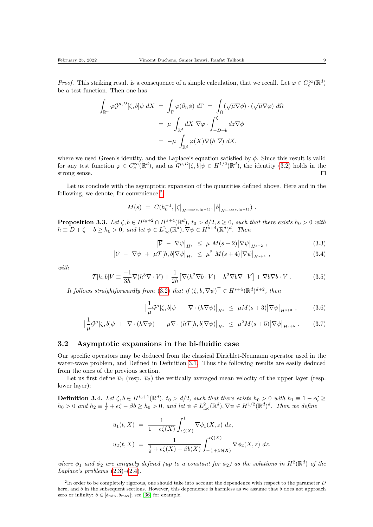*Proof.* This striking result is a consequence of a simple calculation, that we recall. Let  $\varphi \in C_c^{\infty}(\mathbb{R}^d)$ be a test function. Then one has

$$
\int_{\mathbb{R}^d} \varphi \mathcal{G}^{\mu, D}[\zeta, b] \psi \, dX = \int_{\Gamma} \varphi(\partial_n \phi) \, d\Gamma = \int_{\Omega} (\sqrt{\mu} \nabla \phi) \cdot (\sqrt{\mu} \nabla \varphi) \, d\Omega
$$
\n
$$
= \mu \int_{\mathbb{R}^d} dX \, \nabla \varphi \cdot \int_{-D+b}^{\zeta} dz \nabla \phi
$$
\n
$$
= -\mu \int_{\mathbb{R}^d} \varphi(X) \nabla (h \, \overline{\mathcal{V}}) \, dX,
$$

where we used Green's identity, and the Laplace's equation satisfied by  $\phi$ . Since this result is valid for any test function  $\varphi \in C_c^{\infty}(\mathbb{R}^d)$ , and as  $\mathcal{G}^{\mu,D}[\zeta, b]\psi \in H^{1/2}(\mathbb{R}^d)$ , the identity [\(3.2\)](#page-7-4) holds in the strong sense.  $\Box$ 

Let us conclude with the asymptotic expansion of the quantities defined above. Here and in the following, we denote, for convenience, $2$ 

$$
M(s) = C(h_0^{-1}, |\zeta|_{H^{\max(s,t_0+1)}}, |b|_{H^{\max(s,t_0+1)}}).
$$

<span id="page-8-3"></span>**Proposition 3.3.** Let  $\zeta, b \in H^{t_0+2} \cap H^{s+4}(\mathbb{R}^d)$ ,  $t_0 > d/2$ ,  $s \ge 0$ , such that there exists  $h_0 > 0$  with  $h \equiv D + \zeta - b \ge h_0 > 0$ , and let  $\psi \in L^2_{loc}(\mathbb{R}^d)$ ,  $\nabla \psi \in H^{s+4}(\mathbb{R}^d)^d$ . Then

$$
\left|\overline{\mathcal{V}} - \nabla \psi\right|_{H^s} \le \mu \, M(s+2) \left|\nabla \psi\right|_{H^{s+2}},\tag{3.3}
$$

$$
\left|\overline{\mathcal{V}} - \nabla \psi + \mu \mathcal{T}[h, b] \nabla \psi\right|_{H^s} \leq \mu^2 M(s+4) \left|\nabla \psi\right|_{H^{s+4}}, \tag{3.4}
$$

with

$$
\mathcal{T}[h, b]V \equiv \frac{-1}{3h}\nabla(h^3\nabla \cdot V) + \frac{1}{2h} \left[ \nabla(h^2\nabla b \cdot V) - h^2\nabla b\nabla \cdot V \right] + \nabla b\nabla b \cdot V . \tag{3.5}
$$

It follows straightforwardly from [\(3.2\)](#page-7-4) that if  $(\zeta, b, \nabla \psi)^\top \in H^{s+5}(\mathbb{R}^d)^{d+2}$ , then

$$
\left| \frac{1}{\mu} \mathcal{G}^{\mu}[\zeta, b] \psi \ + \ \nabla \cdot (h \nabla \psi) \right|_{H^{s}} \le \ \mu M(s+3) \left| \nabla \psi \right|_{H^{s+3}}, \tag{3.6}
$$

$$
\left| \frac{1}{\mu} \mathcal{G}^{\mu}[\zeta, b] \psi + \nabla \cdot (h \nabla \psi) - \mu \nabla \cdot (h \mathcal{T}[h, b] \nabla \psi) \right|_{H^{s}} \leq \mu^{2} M(s+5) \left| \nabla \psi \right|_{H^{s+5}}.
$$
 (3.7)

#### <span id="page-8-0"></span>3.2 Asymptotic expansions in the bi-fluidic case

Our specific operators may be deduced from the classical Dirichlet-Neumann operator used in the water-wave problem, and Defined in Definition [3.1.](#page-7-2) Thus the following results are easily deduced from the ones of the previous section.

Let us first define  $\overline{u}_1$  (resp.  $\overline{u}_2$ ) the vertically averaged mean velocity of the upper layer (resp. lower layer):

<span id="page-8-2"></span>**Definition 3.4.** Let  $\zeta, b \in H^{t_0+1}(\mathbb{R}^d)$ ,  $t_0 > d/2$ , such that there exists  $h_0 > 0$  with  $h_1 \equiv 1 - \epsilon \zeta \ge$  $h_0 > 0$  and  $h_2 \equiv \frac{1}{\delta} + \epsilon \zeta - \beta b \ge h_0 > 0$ , and let  $\psi \in L^2_{loc}(\mathbb{R}^d), \nabla \psi \in H^{1/2}(\mathbb{R}^d)^d$ . Then we define

$$
\overline{u}_1(t,X) = \frac{1}{1 - \epsilon \zeta(X)} \int_{\epsilon \zeta(X)}^1 \nabla \phi_1(X,z) dz,
$$
  

$$
\overline{u}_2(t,X) = \frac{1}{\frac{1}{\delta} + \epsilon \zeta(X) - \beta b(X)} \int_{-\frac{1}{\delta} + \beta b(X)}^{\epsilon \zeta(X)} \nabla \phi_2(X,z) dz.
$$

where  $\phi_1$  and  $\phi_2$  are uniquely defined (up to a constant for  $\phi_2$ ) as the solutions in  $H^2(\mathbb{R}^d)$  of the Laplace's problems  $(2.3)$ – $(2.4)$ .

<span id="page-8-1"></span><sup>&</sup>lt;sup>2</sup>In order to be completely rigorous, one should take into account the dependence with respect to the parameter  $D$ here, and  $\delta$  in the subsequent sections. However, this dependence is harmless as we assume that  $\delta$  does not approach zero or infinity:  $\delta \in [\delta_{\min}, \delta_{\max}]$ ; see [\[36\]](#page-27-15) for example.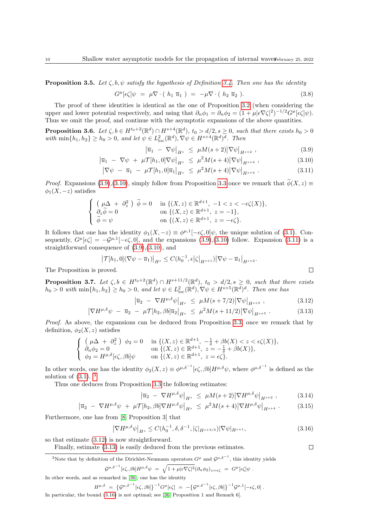<span id="page-9-7"></span>**Proposition 3.5.** Let  $\zeta, b, \psi$  satisfy the hypothesis of Definition [3.4.](#page-8-2) Then one has the identity

<span id="page-9-10"></span>
$$
G^{\mu}[\epsilon\zeta]\psi = \mu \nabla \cdot (h_1 \overline{u}_1) = -\mu \nabla \cdot (h_2 \overline{u}_2). \tag{3.8}
$$

The proof of these identities is identical as the one of Proposition [3.2](#page-7-5) (when considering the upper and lower potential respectively, and using that  $\partial_n \phi_1 = \partial_n \phi_2 = (1 + \mu |\epsilon \nabla \zeta|^2)^{-1/2} G^{\mu}[\epsilon \zeta] \psi$ . Thus we omit the proof, and continue with the asymptotic expansions of the above quantities.

<span id="page-9-8"></span>**Proposition 3.6.** Let  $\zeta, b \in H^{t_0+2}(\mathbb{R}^d) \cap H^{s+4}(\mathbb{R}^d)$ ,  $t_0 > d/2$ ,  $s \ge 0$ , such that there exists  $h_0 > 0$ with  $\min\{h_1, h_2\} \ge h_0 > 0$ , and let  $\psi \in L^2_{\text{loc}}(\mathbb{R}^d)$ ,  $\nabla \psi \in H^{s+4}(\mathbb{R}^d)^d$ . Then

 $\bigg\}$ 

$$
\left|\overline{u}_1 - \nabla \psi\right|_{H^s} \le \mu M(s+2) |\nabla \psi|_{H^{s+2}} , \qquad (3.9)
$$

$$
\left|\overline{u}_1 - \nabla \psi + \mu \mathcal{T}[h_1, 0] \nabla \psi\right|_{H^s} \le \mu^2 M(s+4) |\nabla \psi|_{H^{s+4}}, \tag{3.10}
$$

$$
\left|\nabla\psi\ -\ \overline{u}_1\ -\ \mu\mathcal{T}[h_1,0]\overline{u}_1\right|_{H^s}\ \leq\ \mu^2M(s+4)\left|\nabla\psi\right|_{H^{s+4}}.\tag{3.11}
$$

*Proof.* Expansions [\(3.9\)](#page-9-0),[\(3.10\)](#page-9-1), simply follow from Proposition [3.3](#page-8-3) once we remark that  $\widetilde{\phi}(X, z) \equiv$  $\phi_1(X, -z)$  satisfies

$$
\begin{cases}\n\left(\mu\Delta + \partial_z^2\right) \tilde{\phi} = 0 & \text{in } \{(X, z) \in \mathbb{R}^{d+1}, -1 < z < -\epsilon\zeta(X)\}, \\
\partial_z \tilde{\phi} = 0 & \text{on } \{(X, z) \in \mathbb{R}^{d+1}, z = -1\}, \\
\tilde{\phi} = \psi & \text{on } \{(X, z) \in \mathbb{R}^{d+1}, z = -\epsilon\zeta\}.\n\end{cases}
$$

It follows that one has the identity  $\phi_1(X, -z) \equiv \phi^{\mu,1}[-\epsilon \zeta, 0] \psi$ , the unique solution of [\(3.1\)](#page-7-3). Consequently,  $G^{\mu}[\epsilon\zeta] = -\mathcal{G}^{\mu,1}[-\epsilon\zeta,0],$  and the expansions  $(3.9),(3.10)$  $(3.9),(3.10)$  follow. Expansion  $(3.11)$  is a straightforward consequence of [\(3.9\)](#page-9-0),[\(3.10\)](#page-9-1), and

$$
\left|\mathcal{T}[h_1,0](\nabla\psi - \overline{u}_1)\right|_{H^s} \le C(h_0^{-1},\epsilon|\zeta|_{H^{s+1}})\left|\nabla\psi - \overline{u}_1\right|_{H^{s+2}}.
$$
  
proved.

The Proposition is proved.

<span id="page-9-9"></span>**Proposition 3.7.** Let  $\zeta, b \in H^{t_0+2}(\mathbb{R}^d) \cap H^{s+11/2}(\mathbb{R}^d)$ ,  $t_0 > d/2, s \geq 0$ , such that there exists  $h_0 > 0$  with  $\min\{h_1, h_2\} \ge h_0 > 0$ , and let  $\psi \in L^2_{loc}(\mathbb{R}^d)$ ,  $\nabla \psi \in H^{s+5}(\mathbb{R}^d)^d$ . Then one has

$$
\left| \overline{u}_2 - \nabla H^{\mu, \delta} \psi \right|_{H^s} \le \mu M (s + 7/2) |\nabla \psi|_{H^{s+3}} , \qquad (3.12)
$$

$$
\left|\nabla H^{\mu,\delta}\psi\ -\ \overline{u}_2\ -\ \mu\mathcal{T}[h_2,\beta b]\overline{u}_2\right|_{H^s}\ \leq\ \mu^2 M(s+11/2)\left|\nabla\psi\right|_{H^{s+5}}.\tag{3.13}
$$

Proof. As above, the expansions can be deduced from Proposition [3.3,](#page-8-3) once we remark that by definition,  $\phi_2(X, z)$  satisfies

$$
\begin{cases}\n\left(\mu \Delta + \partial_z^2\right) \phi_2 = 0 & \text{in } \{(X, z) \in \mathbb{R}^{d+1}, -\frac{1}{\delta} + \beta b(X) < z < \epsilon \zeta(X)\}, \\
\partial_n \phi_2 = 0 & \text{on } \{(X, z) \in \mathbb{R}^{d+1}, z = -\frac{1}{\delta} + \beta b(X)\}, \\
\phi_2 = H^{\mu, \delta}[\epsilon \zeta, \beta b] \psi & \text{on } \{(X, z) \in \mathbb{R}^{d+1}, z = \epsilon \zeta\}.\n\end{cases}
$$

In other words, one has the identity  $\phi_2(X, z) \equiv \phi^{\mu, \delta^{-1}}[\epsilon \zeta, \beta b] H^{\mu, \delta} \psi$ , where  $\phi^{\mu, \delta^{-1}}$  is defined as the solution of  $(3.1)$  $(3.1)$  $(3.1)$ . <sup>3</sup>

Thus one deduces from Proposition [3.3](#page-8-3) the following estimates:

$$
\left|\overline{u}_2\ -\ \nabla H^{\mu,\delta}\psi\right|_{H^s}\ \leq\ \mu M(s+2)\left|\nabla H^{\mu,\delta}\psi\right|_{H^{s+2}},\tag{3.14}
$$

$$
\left|\overline{u}_2\ -\ \nabla H^{\mu,\delta}\psi\ +\ \mu\mathcal{T}[h_2,\beta b]\nabla H^{\mu,\delta}\psi\right|_{H^s}\ \leq\ \mu^2 M(s+4)\left|\nabla H^{\mu,\delta}\psi\right|_{H^{s+4}}.\tag{3.15}
$$

Furthermore, one has from [\[8,](#page-25-9) Proposition 3] that

<span id="page-9-6"></span>
$$
\left|\nabla H^{\mu,\delta}\psi\right|_{H^s} \le C(h_0^{-1},\delta,\delta^{-1},|\zeta|_{H^{s+3/2}})|\nabla\psi|_{H^{s+1}},\tag{3.16}
$$

so that estimate [\(3.12\)](#page-9-4) is now straightforward.

Finally, estimate [\(3.13\)](#page-9-5) is easily deduced from the previous estimates.

<span id="page-9-3"></span><sup>3</sup>Note that by definition of the Dirichlet-Neumann operators  $G^{\mu}$  and  $\mathcal{G}^{\mu,\delta^{-1}}$ , this identity yields

$$
\mathcal{G}^{\mu,\delta^{-1}}[\epsilon\zeta,\beta b]H^{\mu,\delta}\psi = \sqrt{1+\mu|\epsilon\nabla\zeta|^2}(\partial_n\phi_2)_{z=\epsilon\zeta} = G^{\mu}[\epsilon\zeta]\psi.
$$

In other words, and as remarked in [\[36\]](#page-27-15), one has the identity

$$
H^{\mu,\delta} = \left\{ \mathcal{G}^{\mu,\delta^{-1}}[\epsilon\zeta,\beta b] \right\}^{-1} G^{\mu}[\epsilon\zeta] = -\left\{ \mathcal{G}^{\mu,\delta^{-1}}[\epsilon\zeta,\beta b] \right\}^{-1} \mathcal{G}^{\mu,1}[-\epsilon\zeta,0] .
$$
  
In particular, the bound (3.16) is not optimal; see [36, Proposition 1 and Remark 6].

<span id="page-9-5"></span><span id="page-9-4"></span><span id="page-9-2"></span><span id="page-9-1"></span><span id="page-9-0"></span> $\Box$ 

<span id="page-9-11"></span> $\Box$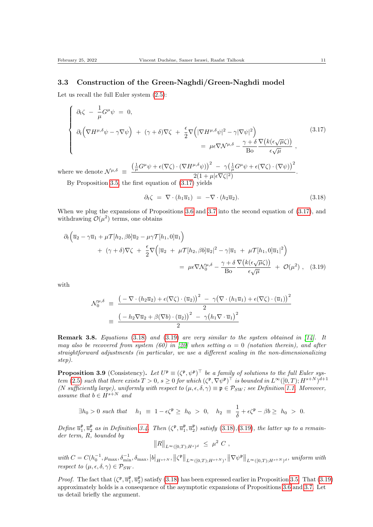#### <span id="page-10-0"></span>3.3 Construction of the Green-Naghdi/Green-Naghdi model

Let us recall the full Euler system  $(2.5)$ :

<span id="page-10-1"></span>
$$
\begin{cases}\n\partial_t \zeta - \frac{1}{\mu} G^{\mu} \psi = 0, \\
\partial_t \left( \nabla H^{\mu, \delta} \psi - \gamma \nabla \psi \right) + (\gamma + \delta) \nabla \zeta + \frac{\epsilon}{2} \nabla \left( |\nabla H^{\mu, \delta} \psi|^2 - \gamma |\nabla \psi|^2 \right) \\
= \mu \epsilon \nabla \mathcal{N}^{\mu, \delta} - \frac{\gamma + \delta}{\text{Bo}} \frac{\nabla \left( k(\epsilon \sqrt{\mu} \zeta) \right)}{\epsilon \sqrt{\mu}},\n\end{cases} (3.17)
$$

where we denote  $\mathcal{N}^{\mu,\delta} \equiv$  $\left(\frac{1}{\mu}G^{\mu}\psi+\epsilon(\nabla\zeta)\cdot(\nabla H^{\mu,\delta}\psi)\right)^2 - \gamma\left(\frac{1}{\mu}G^{\mu}\psi+\epsilon(\nabla\zeta)\cdot(\nabla\psi)\right)^2$  $\frac{2(1+\mu|\epsilon\nabla\zeta|^2)}{2}$ .

By Proposition [3.5,](#page-9-7) the first equation of  $(3.17)$  yields

<span id="page-10-3"></span><span id="page-10-2"></span>
$$
\partial_t \zeta = \nabla \cdot (h_1 \overline{u}_1) = -\nabla \cdot (h_2 \overline{u}_2). \tag{3.18}
$$

When we plug the expansions of Propositions [3.6](#page-9-8) and [3.7](#page-9-9) into the second equation of [\(3.17\)](#page-10-1), and withdrawing  $\mathcal{O}(\mu^2)$  terms, one obtains

$$
\partial_t \left( \overline{u}_2 - \gamma \overline{u}_1 + \mu \mathcal{T}[h_2, \beta b] \overline{u}_2 - \mu \gamma \mathcal{T}[h_1, 0] \overline{u}_1 \right) \n+ (\gamma + \delta) \nabla \zeta + \frac{\epsilon}{2} \nabla \left( |\overline{u}_2 + \mu \mathcal{T}[h_2, \beta b] \overline{u}_2|^2 - \gamma |\overline{u}_1 + \mu \mathcal{T}[h_1, 0] \overline{u}_1|^2 \right) \n= \mu \epsilon \nabla \mathcal{N}_0^{\mu, \delta} - \frac{\gamma + \delta}{\text{Bo}} \frac{\nabla \left( k(\epsilon \sqrt{\mu} \zeta) \right)}{\epsilon \sqrt{\mu}} + \mathcal{O}(\mu^2) , \quad (3.19)
$$

with

$$
\mathcal{N}_0^{\mu,\delta} \equiv \frac{\left(-\nabla \cdot (h_2 \overline{u}_2) + \epsilon(\nabla \zeta) \cdot (\overline{u}_2)\right)^2 - \gamma(\nabla \cdot (h_1 \overline{u}_1) + \epsilon(\nabla \zeta) \cdot (\overline{u}_1))^2}{2}
$$

$$
\equiv \frac{\left(-h_2 \nabla \overline{u}_2 + \beta(\nabla b) \cdot (\overline{u}_2)\right)^2 - \gamma(h_1 \nabla \cdot \overline{u}_1)^2}{2}
$$

**Remark 3.8.** Equations [\(3.18\)](#page-10-2) and [\(3.19\)](#page-10-3) are very similar to the system obtained in [\[14\]](#page-26-13). It may also be recovered from system (60) in [\[20\]](#page-26-16) when setting  $\alpha = 0$  (notation therein), and after straightforward adjustments (in particular, we use a different scaling in the non-dimensionalizing step).

<span id="page-10-4"></span>**Proposition 3.9** (Consistency). Let  $U^{\mathfrak{p}} \equiv (\zeta^{\mathfrak{p}}, \psi^{\mathfrak{p}})^{\top}$  be a family of solutions to the full Euler sys-tem [\(2.5\)](#page-6-3) such that there exists  $T > 0$ ,  $s \geq 0$  for which  $(\zeta^{\mathfrak{p}}, \nabla \psi^{\mathfrak{p}})^{\top}$  is bounded in  $L^{\infty}([0, T); H^{s+N})^{d+1}$ (N sufficiently large), uniformly with respect to  $(\mu, \epsilon, \delta, \gamma) \equiv \mathfrak{p} \in \mathcal{P}_{SW}$ ; see Definition [1.1.](#page-3-0) Moreover, assume that  $b \in H^{s+N}$  and

$$
\exists h_0 > 0 \text{ such that } h_1 \equiv 1 - \epsilon \zeta^{\mathfrak{p}} \ge h_0 > 0, \quad h_2 \equiv \frac{1}{\delta} + \epsilon \zeta^{\mathfrak{p}} - \beta b \ge h_0 > 0.
$$

Define  $\overline{u}_1^{\mathfrak{p}}, \overline{u}_2^{\mathfrak{p}}$  as in Definition [3.4.](#page-8-2) Then  $(\zeta^{\mathfrak{p}}, \overline{u}_1^{\mathfrak{p}}, \overline{u}_2^{\mathfrak{p}})$  satisfy  $(3.18), (3.19)$  $(3.18), (3.19)$  $(3.18), (3.19)$ , the latter up to a remainder term, R, bounded by

$$
||R||_{L^{\infty}([0,T);H^s)^d} \leq \mu^2 C,
$$

 $with C = C(h_0^{-1}, \mu_{\max}, \delta_{\min}^{-1}, \delta_{\max}, |b|_{H^{s+N}}, ||\zeta^{\mathfrak{p}}||_{L^{\infty}([0,T); H^{s+N})}, ||\nabla \psi^{\mathfrak{p}}||_{L^{\infty}([0,T); H^{s+N})^d}, \text{ uniformly with}$ respect to  $(\mu, \epsilon, \delta, \gamma) \in \mathcal{P}_{SW}$ .

*Proof.* The fact that  $(\zeta^{\mathfrak{p}}, \overline{u}_1^{\mathfrak{p}}, \overline{u}_2^{\mathfrak{p}})$  satisfy [\(3.18\)](#page-10-2) has been expressed earlier in Proposition [3.5.](#page-9-7) That [\(3.19\)](#page-10-3) approximately holds is a consequence of the asymptotic expansions of Propositions [3.6](#page-9-8) and [3.7.](#page-9-9) Let us detail briefly the argument.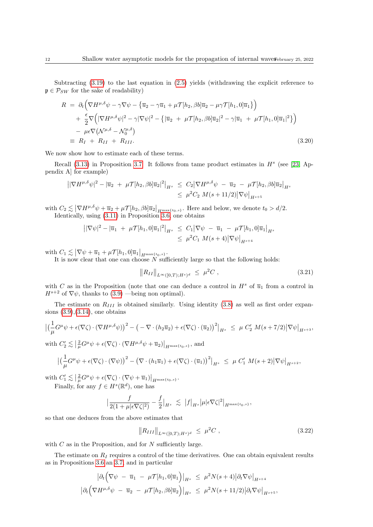Subtracting [\(3.19\)](#page-10-3) to the last equation in [\(2.5\)](#page-6-3) yields (withdrawing the explicit reference to  $\mathfrak{p} \in \mathcal{P}_{SW}$  for the sake of readability)

$$
R = \partial_t \left( \nabla H^{\mu,\delta} \psi - \gamma \nabla \psi - \left\{ \overline{u}_2 - \gamma \overline{u}_1 + \mu \mathcal{T} [h_2, \beta b] \overline{u}_2 - \mu \gamma \mathcal{T} [h_1, 0] \overline{u}_1 \right\} \right)
$$
  
+ 
$$
\frac{\epsilon}{2} \nabla \left( |\nabla H^{\mu,\delta} \psi|^2 - \gamma |\nabla \psi|^2 - \left\{ |\overline{u}_2 + \mu \mathcal{T} [h_2, \beta b] \overline{u}_2|^2 - \gamma |\overline{u}_1 + \mu \mathcal{T} [h_1, 0] \overline{u}_1|^2 \right\} \right)
$$
  
- 
$$
\mu \epsilon \nabla (\mathcal{N}^{\mu,\delta} - \mathcal{N}_0^{\mu,\delta})
$$
  

$$
\equiv R_I + R_{II} + R_{III}.
$$
 (3.20)

We now show how to estimate each of these terms.

Recall  $(3.13)$  in Proposition [3.7.](#page-9-9) It follows from tame product estimates in  $H<sup>s</sup>$  (see [\[23,](#page-26-15) Appendix A] for example)

$$
\begin{aligned} \left| |\nabla H^{\mu,\delta}\psi|^2 - |\overline{u}_2 + \mu \mathcal{T}[h_2,\beta b] \overline{u}_2|^2 \right|_{H^s} &\leq C_2 \left| \nabla H^{\mu,\delta}\psi - \overline{u}_2 - \mu \mathcal{T}[h_2,\beta b] \overline{u}_2 \right|_{H^s} \\ &\leq \mu^2 C_2 M(s+11/2) \left| \nabla \psi \right|_{H^{s+5}} \end{aligned}
$$

with  $C_2 \lesssim \left\| \nabla H^{\mu,\delta} \psi + \overline{u}_2 + \mu \mathcal{T}[h_2, \beta b] \overline{u}_2 \right\|_{H^{\max\{t_0,s\}}_{\text{max}}}.$  Here and below, we denote  $t_0 > d/2$ . Identically, using [\(3.11\)](#page-9-2) in Proposition [3.6,](#page-9-8) one obtains

$$
||\nabla \psi|^2 - |\overline{u}_1 + \mu \mathcal{T}[h_1, 0] \overline{u}_1|^2|_{H^s} \leq C_1 |\nabla \psi - \overline{u}_1 - \mu \mathcal{T}[h_1, 0] \overline{u}_1|_{H^s}
$$
  

$$
\leq \mu^2 C_1 M(s+4) |\nabla \psi|_{H^{s+4}}
$$

with  $C_1 \lesssim |\nabla \psi + \overline{u}_1 + \mu \mathcal{T}[h_1, 0] \overline{u}_1|_{H^{\max\{t_0, s\}}}.$ 

It is now clear that one can choose  $N$  sufficiently large so that the following holds:

<span id="page-11-0"></span>
$$
||R_{II}||_{L^{\infty}([0,T);H^s)^d} \leq \mu^2 C , \qquad (3.21)
$$

with C as in the Proposition (note that one can deduce a control in  $H^s$  of  $\overline{u}_1$  from a control in  $H^{s+2}$  of  $\nabla \psi$ , thanks to [\(3.9\)](#page-9-0) —being non optimal).

The estimate on  $R_{III}$  is obtained similarly. Using identity [\(3.8\)](#page-9-10) as well as first order expansions [\(3.9\)](#page-9-0),[\(3.14\)](#page-9-11), one obtains

$$
\left| \left( \frac{1}{\mu} G^{\mu} \psi + \epsilon (\nabla \zeta) \cdot (\nabla H^{\mu, \delta} \psi) \right)^{2} - \left( - \nabla \cdot (h_{2} \overline{u}_{2}) + \epsilon (\nabla \zeta) \cdot (\overline{u}_{2}) \right)^{2} \right|_{H^{s}} \leq \mu C'_{2} M(s + 7/2) \left| \nabla \psi \right|_{H^{s+3}},
$$
  
with  $C'_{2} \lesssim \left| \frac{2}{\mu} G^{\mu} \psi + \epsilon (\nabla \zeta) \cdot (\nabla H^{\mu, \delta} \psi + \overline{u}_{2}) \right|_{H^{\max\{t_{0}, s\}}},$  and

$$
\big|\big(\frac{1}{\mu}G^{\mu}\psi+\epsilon(\nabla\zeta)\cdot(\nabla\psi)\big)^2-\big(\nabla\cdot\left(h_1\overline{u}_1\right)+\epsilon(\nabla\zeta)\cdot\left(\overline{u}_1\right)\big)^2\big|_{H^s}~\leq~\mu~C'_1~M(s+2)\big|\nabla\psi\big|_{H^{s+2}},
$$

with  $C_1' \lesssim \left| \frac{2}{\mu} G^{\mu} \psi + \epsilon (\nabla \zeta) \cdot (\nabla \psi + \overline{u}_1) \right|_{H^{\max\{t_0, s\}}}$ .

Finally, for any  $f \in H^s(\mathbb{R}^d)$ , one has

$$
\Big|\frac{f}{2(1+\mu|\epsilon\nabla\zeta|^2)}-\frac{f}{2}\Big|_{H^s}\Big|\lesssim\Big|f\Big|_{H^s}\Big|\mu|\epsilon\nabla\zeta|^2\Big|_{H^{\max\{t_0,s\}}},
$$

so that one deduces from the above estimates that

<span id="page-11-1"></span>
$$
||R_{III}||_{L^{\infty}([0,T);H^s)^d} \leq \mu^2 C , \qquad (3.22)
$$

with  $C$  as in the Proposition, and for  $N$  sufficiently large.

The estimate on  $R_I$  requires a control of the time derivatives. One can obtain equivalent results as in Propositions [3.6](#page-9-8) an [3.7,](#page-9-9) and in particular

$$
\left|\partial_t \left(\nabla \psi - \overline{u}_1 - \mu \mathcal{T}[h_1, 0] \overline{u}_1\right)\right|_{H^s} \leq \mu^2 N(s+4) \left|\partial_t \nabla \psi\right|_{H^{s+4}}
$$

$$
\left|\partial_t \left(\nabla H^{\mu, \delta} \psi - \overline{u}_2 - \mu \mathcal{T}[h_2, \beta b] \overline{u}_2\right)\right|_{H^s} \leq \mu^2 N(s+11/2) \left|\partial_t \nabla \psi\right|_{H^{s+5}},
$$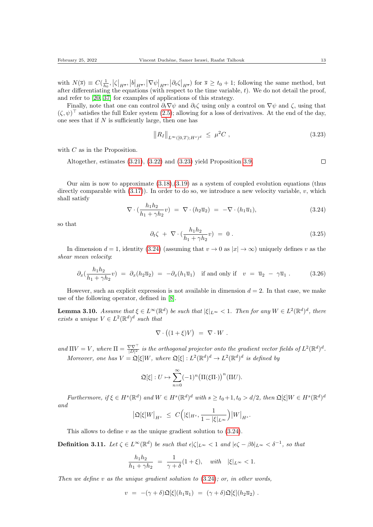with  $N(\bar{s}) \equiv C(\frac{1}{h_0}, |\zeta|_{H^{\bar{s}}}, |b|_{H^{\bar{s}}}, |\nabla \psi|_{H^{\bar{s}}}, |\partial_t \zeta|_{H^{\bar{s}}} )$  for  $\bar{s} \geq t_0 + 1$ ; following the same method, but after differentiating the equations (with respect to the time variable,  $t$ ). We do not detail the proof, and refer to [\[20,](#page-26-16) [37\]](#page-27-0) for examples of applications of this strategy.

Finally, note that one can control  $\partial_t \nabla \psi$  and  $\partial_t \zeta$  using only a control on  $\nabla \psi$  and  $\zeta$ , using that  $(\zeta, \psi)^\top$  satisfies the full Euler system [\(2.5\)](#page-6-3); allowing for a loss of derivatives. At the end of the day, one sees that if  $N$  is sufficiently large, then one has

<span id="page-12-1"></span>
$$
||R_I||_{L^{\infty}([0,T);H^s)^d} \leq \mu^2 C , \qquad (3.23)
$$

with  $C$  as in the Proposition.

Altogether, estimates [\(3.21\)](#page-11-0), [\(3.22\)](#page-11-1) and [\(3.23\)](#page-12-1) yield Proposition [3.9.](#page-10-4)

 $\Box$ 

Our aim is now to approximate  $(3.18),(3.19)$  $(3.18),(3.19)$  as a system of coupled evolution equations (thus directly comparable with  $(3.17)$ ). In order to do so, we introduce a new velocity variable, v, which shall satisfy

<span id="page-12-2"></span>
$$
\nabla \cdot \left(\frac{h_1 h_2}{h_1 + \gamma h_2} v\right) = \nabla \cdot \left(h_2 \overline{u}_2\right) = -\nabla \cdot \left(h_1 \overline{u}_1\right),\tag{3.24}
$$

so that

<span id="page-12-4"></span>
$$
\partial_t \zeta + \nabla \cdot \left( \frac{h_1 h_2}{h_1 + \gamma h_2} v \right) = 0 \tag{3.25}
$$

In dimension  $d = 1$ , identity [\(3.24\)](#page-12-2) (assuming that  $v \to 0$  as  $|x| \to \infty$ ) uniquely defines v as the shear mean velocity:

<span id="page-12-5"></span>
$$
\partial_x \left( \frac{h_1 h_2}{h_1 + \gamma h_2} v \right) = \partial_x (h_2 \overline{u}_2) = -\partial_x (h_1 \overline{u}_1) \quad \text{if and only if} \quad v = \overline{u}_2 - \gamma \overline{u}_1 \,. \tag{3.26}
$$

However, such an explicit expression is not available in dimension  $d = 2$ . In that case, we make use of the following operator, defined in [\[8\]](#page-25-9).

<span id="page-12-3"></span>**Lemma 3.10.** Assume that  $\xi \in L^{\infty}(\mathbb{R}^d)$  be such that  $|\xi|_{L^{\infty}} < 1$ . Then for any  $W \in L^2(\mathbb{R}^d)^d$ , there exists a unique  $V \in L^2(\mathbb{R}^d)^d$  such that

$$
\nabla \cdot \big( (1+\xi)V \big) \ = \ \nabla \cdot W \ .
$$

and  $\Pi V = V$ , where  $\Pi = \frac{\nabla \nabla^{\top}}{|D|^2}$  is the orthogonal projector onto the gradient vector fields of  $L^2(\mathbb{R}^d)^d$ . Moreover, one has  $V = \mathfrak{Q}[\xi]W$ , where  $\mathfrak{Q}[\xi] : L^2(\mathbb{R}^d)^d \to L^2(\mathbb{R}^d)^d$  is defined by

$$
\mathfrak{Q}[\xi]: U \mapsto \sum_{n=0}^{\infty} (-1)^n \big(\Pi(\xi\Pi)\big)^n (\Pi U).
$$

Furthermore, if  $\xi \in H^s(\mathbb{R}^d)$  and  $W \in H^s(\mathbb{R}^d)^d$  with  $s \ge t_0 + 1$ ,  $t_0 > d/2$ , then  $\mathfrak{Q}[\xi]W \in H^s(\mathbb{R}^d)^d$ and

$$
\left| \mathfrak{Q}[\xi] W \right|_{H^s} \ \leq \ C\Big( |\xi|_{H^s}, \frac{1}{1 - |\xi|_{L^{\infty}}} \Big) \big| W \big|_{H^s}.
$$

This allows to define  $v$  as the unique gradient solution to  $(3.24)$ .

<span id="page-12-0"></span>**Definition 3.11.** Let  $\zeta \in L^{\infty}(\mathbb{R}^d)$  be such that  $\epsilon |\zeta|_{L^{\infty}} < 1$  and  $|\epsilon \zeta - \beta b|_{L^{\infty}} < \delta^{-1}$ , so that

$$
\frac{h_1 h_2}{h_1 + \gamma h_2} = \frac{1}{\gamma + \delta} (1 + \xi), \quad with \quad |\xi|_{L^{\infty}} < 1.
$$

Then we define v as the unique gradient solution to  $(3.24)$ ; or, in other words,

$$
v = -(\gamma + \delta) \mathfrak{Q}[\xi](h_1 \overline{u}_1) = (\gamma + \delta) \mathfrak{Q}[\xi](h_2 \overline{u}_2).
$$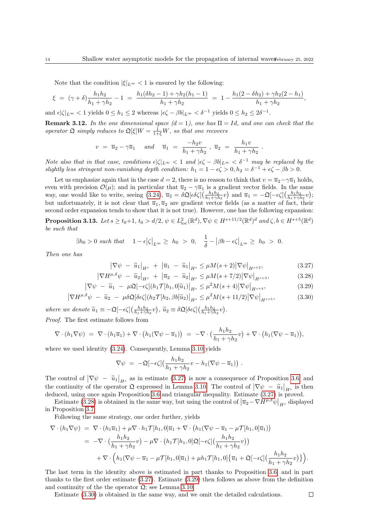Note that the condition  $|\xi|_{L^{\infty}} < 1$  is ensured by the following:

$$
\xi = (\gamma + \delta) \frac{h_1 h_2}{h_1 + \gamma h_2} - 1 = \frac{h_1(\delta h_2 - 1) + \gamma h_2(h_1 - 1)}{h_1 + \gamma h_2} = 1 - \frac{h_1(2 - \delta h_2) + \gamma h_2(2 - h_1)}{h_1 + \gamma h_2},
$$

and  $\epsilon |\zeta|_{L^{\infty}} < 1$  yields  $0 \le h_1 \le 2$  whereas  $|\epsilon \zeta - \beta b|_{L^{\infty}} < \delta^{-1}$  yields  $0 \le h_2 \le 2\delta^{-1}$ .

**Remark 3.12.** In the one dimensional space  $(d = 1)$ , one has  $\Pi = Id$ , and one can check that the operator  $\mathfrak{Q}$  simply reduces to  $\mathfrak{Q}[\xi]W = \frac{1}{1+\xi}W$ , so that one recovers

$$
v = \overline{u}_2 - \gamma \overline{u}_1
$$
 and  $\overline{u}_1 = \frac{-h_2 v}{h_1 + \gamma h_2}$ ,  $\overline{u}_2 = \frac{h_1 v}{h_1 + \gamma h_2}$ .

Note also that in that case, conditions  $\epsilon |\zeta|_{L^{\infty}} < 1$  and  $|\epsilon \zeta - \beta b|_{L^{\infty}} < \delta^{-1}$  may be replaced by the slightly less stringent non-vanishing depth condition:  $h_1 = 1 - \epsilon \zeta > 0, h_2 = \delta^{-1} + \epsilon \zeta - \beta b > 0$ .

Let us emphasize again that in the case  $d = 2$ , there is no reason to think that  $v = \overline{u}_2 - \gamma \overline{u}_1$  holds, even with precision  $\mathcal{O}(\mu)$ ; and in particular that  $\overline{u}_2 - \gamma \overline{u}_1$  is a gradient vector fields. In the same way, one would like to write, seeing  $(3.24)$ ,  $\bar{u}_2 = \delta \mathfrak{Q}[\epsilon \delta \zeta] \left( \frac{h_1 h_2}{h_1 + \gamma h_2} v \right)$  and  $\bar{u}_1 = -\mathfrak{Q}[-\epsilon \zeta] \left( \frac{h_1 h_2}{h_1 + \gamma h_2} v \right)$ ; but unfortunately, it is not clear that  $\overline{u}_1, \overline{u}_2$  are gradient vector fields (as a matter of fact, their second order expansion tends to show that it is not true). However, one has the following expansion:

<span id="page-13-4"></span>**Proposition 3.13.** Let  $s \ge t_0+1$ ,  $t_0 > d/2$ ,  $\psi \in L^2_{loc}(\mathbb{R}^d)$ ,  $\nabla \psi \in H^{s+11/2}(\mathbb{R}^d)^d$  and  $\zeta, b \in H^{s+5}(\mathbb{R}^d)$ be such that

$$
\exists h_0 > 0 \text{ such that } \quad 1 - \epsilon \left| \zeta \right|_{L^{\infty}} \geq h_0 > 0, \quad \frac{1}{\delta} - \left| \beta b - \epsilon \zeta \right|_{L^{\infty}} \geq h_0 > 0.
$$

Then one has

<span id="page-13-2"></span><span id="page-13-1"></span><span id="page-13-0"></span>
$$
\left|\nabla\psi\ -\ \widetilde{u}_1\right|_{H^s}\ +\ \left|\overline{u}_1\ -\ \widetilde{u}_1\right|_{H^s}\leq \mu M(s+2)\left|\nabla\psi\right|_{H^{s+2}},\tag{3.27}
$$

$$
\left|\nabla H^{\mu,\delta}\psi\ -\ \widetilde{u}_2\right|_{H^s}\ +\ \left|\overline{u}_2\ -\ \widetilde{u}_2\right|_{H^s}\leq \mu M(s+7/2)\left|\nabla\psi\right|_{H^{s+3}},\tag{3.28}
$$

$$
\left|\nabla\psi\ -\ \widetilde{u}_1\ -\ \mu\mathfrak{Q}[-\epsilon\zeta](h_1\mathcal{T}[h_1,0]\widetilde{u}_1)\right|_{H^s}\leq\mu^2M(s+4)\left|\nabla\psi\right|_{H^{s+4}},\tag{3.29}
$$

$$
\left|\nabla H^{\mu,\delta}\psi\ -\ \widetilde{u}_2\ -\ \mu\delta\mathfrak{Q}[\delta\epsilon\zeta](h_2\mathcal{T}[h_2,\beta b]\widetilde{u}_2)\right|_{H^s}\leq\mu^2M(s+11/2)\left|\nabla\psi\right|_{H^{s+5}},\tag{3.30}
$$

where we denote  $\widetilde{u}_1 \equiv -\mathfrak{Q}[-\epsilon \zeta] \left( \frac{h_1 h_2}{h_1 + \gamma h_2} v \right), \widetilde{u}_2 \equiv \delta \mathfrak{Q}[\delta \epsilon \zeta] \left( \frac{h_1 h_2}{h_1 + \gamma h_2} v \right).$ Proof. The first estimate follows from

$$
\nabla \cdot (h_1 \nabla \psi) = \nabla \cdot (h_1 \overline{u}_1) + \nabla \cdot (h_1 (\nabla \psi - \overline{u}_1)) = -\nabla \cdot \left(\frac{h_1 h_2}{h_1 + \gamma h_2} v\right) + \nabla \cdot \left(h_1 (\nabla \psi - \overline{u}_1)\right),
$$

where we used identity  $(3.24)$ . Consequently, Lemma [3.10](#page-12-3) yields

<span id="page-13-3"></span>
$$
\nabla \psi = -\mathfrak{Q}[-\epsilon \zeta] \left( \frac{h_1 h_2}{h_1 + \gamma h_2} v - h_1 (\nabla \psi - \overline{u}_1) \right) .
$$

The control of  $|\nabla \psi - \tilde{u}_1|_{H^s}$  as in estimate [\(3.27\)](#page-13-0) is now a consequence of Proposition [3.6,](#page-9-8) and<br>the continuity of the current  $\Omega$  compared in Lemma 3.10. The cutred of  $|\nabla \psi| \leq 1$  is then the continuity of the operator  $\Omega$  expressed in Lemma [3.10.](#page-12-3) The control of  $|\nabla \psi - \tilde{u}_1|_{H^s}$  is then<br>deduced using once again Proposition 3.6 and triangular inequality. Estimate (3.27) is proved deduced, using once again Proposition [3.6](#page-9-8) and triangular inequality. Estimate [\(3.27\)](#page-13-0) is proved.

Estimate [\(3.28\)](#page-13-1) is obtained in the same way, but using the control of  $\left|\overline{u}_2 - \nabla H^{\mu,\delta}\psi\right|_{H^s}$  displayed in Proposition [3.7.](#page-9-9)

Following the same strategy, one order further, yields

$$
\nabla \cdot (h_1 \nabla \psi) = \nabla \cdot (h_1 \overline{u}_1) + \mu \nabla \cdot h_1 \mathcal{T} [h_1, 0] \overline{u}_1 + \nabla \cdot (h_1 (\nabla \psi - \overline{u}_1 - \mu \mathcal{T} [h_1, 0] \overline{u}_1))
$$
  
\n
$$
= -\nabla \cdot \left( \frac{h_1 h_2}{h_1 + \gamma h_2} \psi \right) - \mu \nabla \cdot (h_1 \mathcal{T} [h_1, 0] \mathfrak{Q} [-\epsilon \zeta] \left( \frac{h_1 h_2}{h_1 + \gamma h_2} \psi \right))
$$
  
\n
$$
+ \nabla \cdot \left( h_1 (\nabla \psi - \overline{u}_1 - \mu \mathcal{T} [h_1, 0] \overline{u}_1) + \mu h_1 \mathcal{T} [h_1, 0] \left\{ \overline{u}_1 + \mathfrak{Q} [-\epsilon \zeta] \left( \frac{h_1 h_2}{h_1 + \gamma h_2} \psi \right) \right\} \right).
$$

The last term in the identity above is estimated in part thanks to Proposition [3.6,](#page-9-8) and in part thanks to the first order estimate [\(3.27\)](#page-13-0). Estimate [\(3.29\)](#page-13-2) then follows as above from the definition and continuity of the the operator  $\mathfrak{Q}$ ; see Lemma [3.10.](#page-12-3)

Estimate [\(3.30\)](#page-13-3) is obtained in the same way, and we omit the detailed calculations.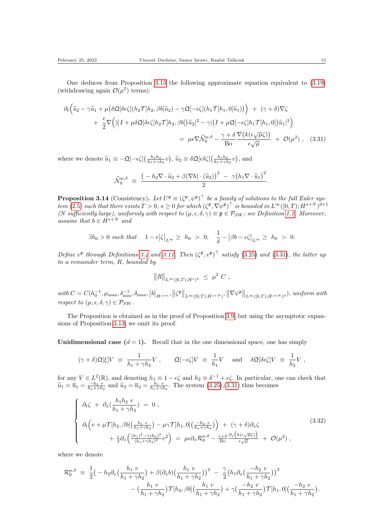<span id="page-14-0"></span>

One deduces from Proposition [3.13](#page-13-4) the following approximate equation equivalent to [\(3.19\)](#page-10-3) (withdrawing again  $\mathcal{O}(\mu^2)$  terms):

$$
\partial_t \left( \tilde{u}_2 - \gamma \tilde{u}_1 + \mu \left( \delta \mathfrak{Q}[\delta \epsilon \zeta](h_2 \mathcal{T}[h_2, \beta b] \tilde{u}_2) - \gamma \mathfrak{Q}[-\epsilon \zeta](h_1 \mathcal{T}[h_1, 0] \tilde{u}_1) \right) \right) + (\gamma + \delta) \nabla \zeta + \frac{\epsilon}{2} \nabla \Big( \big| \big( I + \mu \delta \mathfrak{Q}[\delta \epsilon \zeta] h_2 \mathcal{T}[h_2, \beta b] \big) \tilde{u}_2 \big|^2 - \gamma \big| \big( I + \mu \mathfrak{Q}[-\epsilon \zeta] h_1 \mathcal{T}[h_1, 0] \big) \tilde{u}_1 \big|^2 \Big) = \mu \epsilon \nabla \tilde{\mathcal{N}}_0^{\mu, \delta} - \frac{\gamma + \delta}{\text{Bo}} \frac{\nabla \big( k(\epsilon \sqrt{\mu} \zeta) \big)}{\epsilon \sqrt{\mu}} + \mathcal{O}(\mu^2) , \quad (3.31)
$$

where we denote  $\tilde{u}_1 \equiv -\mathfrak{Q}[-\epsilon \zeta] \left( \frac{h_1 h_2}{h_1 + \gamma h_2} v \right), \tilde{u}_2 \equiv \delta \mathfrak{Q}[\epsilon \delta \zeta] \left( \frac{h_1 h_2}{h_1 + \gamma h_2} v \right),$  and

$$
\widetilde{\mathcal{N}}_0^{\mu,\delta} \;\equiv\; \frac{\big(-h_2\nabla\cdot \widetilde{u}_2 + \beta(\nabla b)\cdot (\widetilde{u}_2)\big)^2 \;-\; \gamma \big(h_1\nabla\cdot \widetilde{u}_1\big)^2}{2}.
$$

<span id="page-14-1"></span>**Proposition 3.14** (Consistency). Let  $U^{\mathfrak{p}} \equiv (\zeta^{\mathfrak{p}}, \psi^{\mathfrak{p}})^{\top}$  be a family of solutions to the full Euler sys-tem [\(2.5\)](#page-6-3) such that there exists  $T > 0$ ,  $s \geq 0$  for which  $(\zeta^{\mathfrak{p}}, \nabla \psi^{\mathfrak{p}})^{\top}$  is bounded in  $L^{\infty}([0, T); H^{s+N})^{d+1}$ (N sufficiently large), uniformly with respect to  $(\mu, \epsilon, \delta, \gamma) \equiv \mathfrak{p} \in \mathcal{P}_{SW}$ ; see Definition [1.1.](#page-3-0) Moreover, assume that  $b \in H^{s+N}$  and

$$
\exists h_0 > 0 \text{ such that } 1 - \epsilon \big| \zeta \big|_{L^{\infty}} \ge h_0 > 0, \quad \frac{1}{\delta} - \big| \beta b - \epsilon \zeta \big|_{L^{\infty}} \ge h_0 > 0.
$$

Define  $v^{\mathfrak{p}}$  through Definitions [3.4](#page-8-2) and [3.11.](#page-12-0) Then  $(\zeta^{\mathfrak{p}}, v^{\mathfrak{p}})^{\top}$  satisfy [\(3.25\)](#page-12-4) and [\(3.31\)](#page-14-0), the latter up to a remainder term, R, bounded by

$$
||R||_{L^{\infty}([0,T);H^s)^d} \leq \mu^2 C,
$$

 $with C = C(h_0^{-1}, \mu_{\text{max}}, \delta_{\text{min}}^{-1}, \delta_{\text{max}}, |b|_{H^{s+n}}, ||\zeta^{\mathfrak{p}}||_{L^{\infty}([0,T); H^{s+N})}, ||\nabla \psi^{\mathfrak{p}}||_{L^{\infty}([0,T); H^{s+N})^d}),$  uniform with respect to  $(\mu, \epsilon, \delta, \gamma) \in \mathcal{P}_{SW}$ .

The Proposition is obtained as in the proof of Proposition [3.9,](#page-10-4) but using the asymptotic expansions of Proposition [3.13;](#page-13-4) we omit its proof.

Unidimensional case  $(d = 1)$ . Recall that in the one dimensional space, one has simply

$$
(\gamma + \delta) \mathfrak{Q}[\xi] V = \frac{1}{h_1 + \gamma h_2} V , \qquad \mathfrak{Q}[-\epsilon \zeta] V = \frac{1}{h_1} V \quad \text{and} \quad \delta \mathfrak{Q}[\delta \epsilon \zeta] V = \frac{1}{h_2} V ,
$$

for any  $V \in L^2(\mathbb{R})$ , and denoting  $h_1 \equiv 1 - \epsilon \zeta$  and  $h_2 \equiv \delta^{-1} + \epsilon \zeta$ . In particular, one can check that  $\tilde{u}_1 = \overline{u}_1 = \frac{-h_2 v}{h_1 + \gamma h_2}$  and  $\tilde{u}_2 = \overline{u}_2 = \frac{h_1 v}{h_1 + \gamma h_2}$ . The system  $(3.25),(3.31)$  $(3.25),(3.31)$  thus becomes

$$
\begin{cases}\n\partial_t \zeta + \partial_x (\frac{h_1 h_2 v}{h_1 + \gamma h_2}) = 0, \\
\partial_t \left( v + \mu \mathcal{T} [h_2, \beta b] (\frac{h_1 v}{h_1 + \gamma h_2}) - \mu \gamma \mathcal{T} [h_1, 0] (\frac{-h_2 v}{h_1 + \gamma h_2}) \right) + (\gamma + \delta) \partial_x \zeta \\
+ \frac{\epsilon}{2} \partial_x \left( \frac{(h_1)^2 - \gamma (h_2)^2}{(h_1 + \gamma h_2)^2} v^2 \right) = \mu \epsilon \partial_x \mathcal{R}_0^{\mu, \delta} - \frac{\gamma + \delta}{\text{Bo}} \frac{\partial_x \left( k(\epsilon \sqrt{\mu} \zeta) \right)}{\epsilon \sqrt{\mu}} + \mathcal{O}(\mu^2),\n\end{cases} (3.32)
$$

where we denote

$$
\mathcal{R}_0^{\mu,\delta} = \frac{1}{2} \left( -h_2 \partial_x \left( \frac{h_1 v}{h_1 + \gamma h_2} \right) + \beta (\partial_x b) \left( \frac{h_1 v}{h_1 + \gamma h_2} \right) \right)^2 - \frac{\gamma}{2} \left( h_1 \partial_x \left( \frac{-h_2 v}{h_1 + \gamma h_2} \right) \right)^2 - \left( \frac{h_1 v}{h_1 + \gamma h_2} \right) \mathcal{T}[h_2, \beta b] \left( \frac{h_1 v}{h_1 + \gamma h_2} \right) + \gamma \left( \frac{-h_2 v}{h_1 + \gamma h_2} \right) \mathcal{T}[h_1, 0] \left( \frac{-h_2 v}{h_1 + \gamma h_2} \right).
$$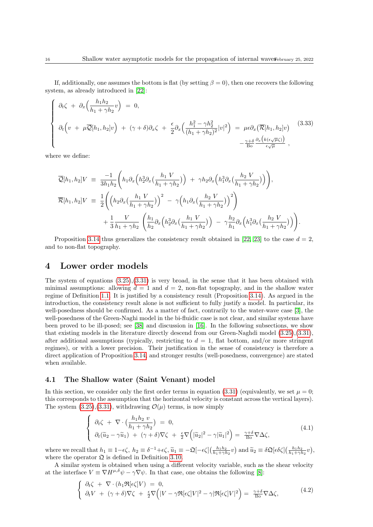If, additionally, one assumes the bottom is flat (by setting  $\beta = 0$ ), then one recovers the following system, as already introduced in [\[22\]](#page-26-14):

<span id="page-15-4"></span>
$$
\begin{cases}\n\partial_t \zeta + \partial_x \Big(\frac{h_1 h_2}{h_1 + \gamma h_2} v\Big) = 0, \\
\partial_t \Big(v + \mu \overline{\mathcal{Q}}[h_1, h_2] v\Big) + (\gamma + \delta) \partial_x \zeta + \frac{\epsilon}{2} \partial_x \Big(\frac{h_1^2 - \gamma h_2^2}{(h_1 + \gamma h_2)^2} |v|^2\Big) = \mu \epsilon \partial_x \big(\overline{\mathcal{R}}[h_1, h_2] v\big) \\
-\frac{\gamma + \delta}{\text{Bo}} \frac{\partial_x \big(k(\epsilon \sqrt{\mu} \zeta)\big)}{\epsilon \sqrt{\mu}},\n\end{cases} (3.33)
$$

where we define:

$$
\overline{\mathcal{Q}}[h_1, h_2]V = \frac{-1}{3h_1h_2} \left( h_1 \partial_x \left( h_2^3 \partial_x \left( \frac{h_1 V}{h_1 + \gamma h_2} \right) \right) + \gamma h_2 \partial_x \left( h_1^3 \partial_x \left( \frac{h_2 V}{h_1 + \gamma h_2} \right) \right) \right),
$$
  

$$
\overline{\mathcal{R}}[h_1, h_2]V = \frac{1}{2} \left( \left( h_2 \partial_x \left( \frac{h_1 V}{h_1 + \gamma h_2} \right) \right)^2 - \gamma \left( h_1 \partial_x \left( \frac{h_2 V}{h_1 + \gamma h_2} \right) \right)^2 \right)
$$
  

$$
+ \frac{1}{3} \frac{V}{h_1 + \gamma h_2} \left( \frac{h_1}{h_2} \partial_x \left( h_2^3 \partial_x \left( \frac{h_1 V}{h_1 + \gamma h_2} \right) \right) - \gamma \frac{h_2}{h_1} \partial_x \left( h_1^3 \partial_x \left( \frac{h_2 V}{h_1 + \gamma h_2} \right) \right) \right).
$$

Proposition [3.14](#page-14-1) thus generalizes the consistency result obtained in [\[22,](#page-26-14) [23\]](#page-26-15) to the case  $d = 2$ , and to non-flat topography.

#### <span id="page-15-0"></span>4 Lower order models

The system of equations  $(3.25),(3.31)$  $(3.25),(3.31)$  is very broad, in the sense that it has been obtained with minimal assumptions: allowing  $d = 1$  and  $d = 2$ , non-flat topography, and in the shallow water regime of Definition [1.1.](#page-3-0) It is justified by a consistency result (Proposition [3.14\)](#page-14-1). As argued in the introduction, the consistency result alone is not sufficient to fully justify a model. In particular, its well-posedness should be confirmed. As a matter of fact, contrarily to the water-wave case [\[3\]](#page-25-4), the well-posedness of the Green-Naghi model in the bi-fluidic case is not clear, and similar systems have been proved to be ill-posed; see [\[38\]](#page-27-18) and discussion in [\[16\]](#page-26-20). In the following subsections, we show that existing models in the literature directly descend from our Green-Naghdi model [\(3.25\)](#page-12-4),[\(3.31\)](#page-14-0), after additional assumptions (typically, restricting to  $d = 1$ , flat bottom, and/or more stringent regimes), or with a lower precision. Their justification in the sense of consistency is therefore a direct application of Proposition [3.14,](#page-14-1) and stronger results (well-posedness, convergence) are stated when available.

#### <span id="page-15-1"></span>4.1 The Shallow water (Saint Venant) model

In this section, we consider only the first order terms in equation [\(3.31\)](#page-14-0) (equivalently, we set  $\mu = 0$ ; this corresponds to the assumption that the horizontal velocity is constant across the vertical layers). The system  $(3.25),(3.31)$  $(3.25),(3.31)$ , withdrawing  $\mathcal{O}(\mu)$  terms, is now simply

<span id="page-15-2"></span>
$$
\begin{cases}\n\partial_t \zeta + \nabla \cdot \left( \frac{h_1 h_2 v}{h_1 + \gamma h_2} \right) = 0, \\
\partial_t (\widetilde{u}_2 - \gamma \widetilde{u}_1) + (\gamma + \delta) \nabla \zeta + \frac{\epsilon}{2} \nabla \left( |\widetilde{u}_2|^2 - \gamma |\widetilde{u}_1|^2 \right) = \frac{\gamma + \delta}{\text{Bo}} \nabla \Delta \zeta,\n\end{cases} (4.1)
$$

where we recall that  $h_1 \equiv 1 - \epsilon \zeta$ ,  $h_2 \equiv \delta^{-1} + \epsilon \zeta$ ,  $\tilde{u}_1 \equiv -\mathfrak{Q}[-\epsilon \zeta] \left(\frac{h_1 h_2}{h_1 + \gamma h_2} v\right)$  and  $\tilde{u}_2 \equiv \delta \mathfrak{Q}[\epsilon \delta \zeta] \left(\frac{h_1 h_2}{h_1 + \gamma h_2} v\right)$ , where the operator  $\mathfrak Q$  is defined in Definition [3.10.](#page-12-3)

A similar system is obtained when using a different velocity variable, such as the shear velocity at the interface  $V \equiv \nabla H^{\mu,\delta}\psi - \gamma \nabla \psi$ . In that case, one obtains the following [\[8\]](#page-25-9):

<span id="page-15-3"></span>
$$
\begin{cases} \n\partial_t \zeta + \nabla \cdot (h_1 \Re[\epsilon \zeta] V) = 0, \\
\partial_t V + (\gamma + \delta) \nabla \zeta + \frac{\epsilon}{2} \nabla \Big( |V - \gamma \Re[\epsilon \zeta] V|^2 - \gamma |\Re[\epsilon \zeta] V|^2 \Big) = \frac{\gamma + \delta}{\text{Bo}} \nabla \Delta \zeta,\n\end{cases} \tag{4.2}
$$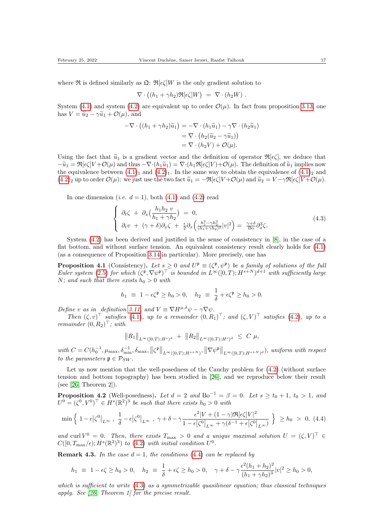where  $\Re$  is defined similarly as  $\mathfrak{Q}$ :  $\mathfrak{R}[\epsilon\zeta]W$  is the only gradient solution to

$$
\nabla \cdot ((h_1 + \gamma h_2) \mathfrak{R}[\epsilon \zeta] W) = \nabla \cdot (h_2 W) .
$$

System [\(4.1\)](#page-15-2) and system [\(4.2\)](#page-15-3) are equivalent up to order  $\mathcal{O}(\mu)$ . In fact from proposition [3.13,](#page-13-4) one has  $V = \tilde{u}_2 - \gamma \tilde{u}_1 + \mathcal{O}(\mu)$ , and

$$
-\nabla \cdot ((h_1 + \gamma h_2)\widetilde{u}_1) = -\nabla \cdot (h_1 \widetilde{u}_1) - \gamma \nabla \cdot (h_2 \widetilde{u}_1)
$$
  
= 
$$
\nabla \cdot (h_2(\widetilde{u}_2 - \gamma \widetilde{u}_1))
$$
  
= 
$$
\nabla \cdot (h_2 V) + \mathcal{O}(\mu).
$$

Using the fact that  $\tilde{u}_1$  is a gradient vector and the definition of operator  $\mathfrak{R}[\epsilon\zeta]$ , we deduce that  $-\widetilde{u}_1 = \Re[\epsilon\zeta]V + \mathcal{O}(\mu)$  and thus  $-\nabla\cdot(h_1\widetilde{u}_1) = \nabla\cdot(h_1\Re[\epsilon\zeta]V) + \mathcal{O}(\mu)$ . The definition of  $\widetilde{u}_1$  implies now the equivalence between  $(4.1)_1$  $(4.1)_1$  $(4.1)_1$  and  $(4.2)_1$ . In the same way to obtain the equivalence of  $(4.1)_2$  and  $(4.2)_2$  $(4.2)_2$  $(4.2)_2$  up to order  $\mathcal{O}(\mu)$ : we just use the two fact  $\widetilde{u}_1 = -\Re[\epsilon\zeta]V + \mathcal{O}(\mu)$  and  $\widetilde{u}_2 = V - \gamma \Re[\epsilon\zeta]V + \mathcal{O}(\mu)$ .

In one dimension (*i.e.*  $d = 1$ ), both [\(4.1\)](#page-15-2) and [\(4.2\)](#page-15-3) read

<span id="page-16-1"></span>
$$
\begin{cases}\n\partial_t \zeta + \partial_x \left(\frac{h_1 h_2 v}{h_1 + \gamma h_2}\right) = 0, \\
\partial_t v + (\gamma + \delta) \partial_x \zeta + \frac{\epsilon}{2} \partial_x \left(\frac{h_1^2 - \gamma h_2^2}{(h_1 + \gamma h_2)^2} |v|^2\right) = \frac{\gamma + \delta}{\text{Bo}} \partial_x^3 \zeta.\n\end{cases} (4.3)
$$

System [\(4.2\)](#page-15-3) has been derived and justified in the sense of consistency in [\[8\]](#page-25-9), in the case of a flat bottom, and without surface tension. An equivalent consistency result clearly holds for [\(4.1\)](#page-15-2) (as a consequence of Proposition [3.14](#page-14-1) in particular). More precisely, one has

**Proposition 4.1** (Consistency). Let  $s \geq 0$  and  $U^{\mathfrak{p}} \equiv (\zeta^{\mathfrak{p}}, \psi^{\mathfrak{p}})$  be a family of solutions of the full Euler system [\(2.5\)](#page-6-3) for which  $(\zeta^{\mathfrak{p}}, \nabla \psi^{\mathfrak{p}})^{\top}$  is bounded in  $L^{\infty}([0, T); H^{s+N})^{d+1}$  with sufficiently large N; and such that there exists  $h_0 > 0$  with

$$
h_1 \equiv 1 - \epsilon \zeta^{\mathfrak{p}} \ge h_0 > 0, \quad h_2 \equiv \frac{1}{\delta} + \epsilon \zeta^{\mathfrak{p}} \ge h_0 > 0.
$$

Define v as in definition [3.11,](#page-12-0) and  $V \equiv \nabla H^{\mu,\delta}\psi - \gamma \nabla \psi$ .

Then  $(\zeta, v)^\top$  satisfies [\(4.1\)](#page-15-2), up to a remainder  $(0, R_1)^\top$ ; and  $(\zeta, V)^\top$  satisfies [\(4.2\)](#page-15-3), up to a remainder  $(0, R_2)^\top$ ; with

$$
||R_1||_{L^{\infty}([0,T);H^s)^d} + ||R_2||_{L^{\infty}([0,T);H^s)^d} \leq C \mu,
$$

with  $C = C(h_0^{-1}, \mu_{\max}, \delta_{\min}^{-1}, \delta_{\max}, ||\zeta^{\mathfrak{p}}||_{L^{\infty}([0,T);H^{s+N})}, ||\nabla \psi^{\mathfrak{p}}||_{L^{\infty}([0,T);H^{s+N})})$ , uniform with respect to the parameters  $\mathfrak{p} \in \mathcal{P}_{SW}$ .

Let us now mention that the well-posedness of the Cauchy problem for  $(4.2)$  (without surface tension and bottom topography) has been studied in [\[26\]](#page-26-17), and we reproduce below their result (see [\[26,](#page-26-17) Theorem 2]).

**Proposition 4.2** (Well-posedness). Let  $d = 2$  and  $Bo^{-1} = \beta = 0$ . Let  $s \ge t_0 + 1$ ,  $t_0 > 1$ , and  $U^0 = (\zeta^0, V^0)^\top \in H^s(\mathbb{R}^2)^3$  be such that there exists  $h_0 > 0$  with

<span id="page-16-0"></span>
$$
\min\left\{\left|1-\epsilon\left|\zeta^{0}\right|_{L^{\infty}},\ \frac{1}{\delta}-\epsilon\left|\zeta^{0}\right|_{L^{\infty}},\ \gamma+\delta-\gamma\frac{\epsilon^{2}|V+(1-\gamma)\Re[\epsilon\zeta]V|^{2}}{1-\epsilon\left|\zeta^{0}\right|_{L^{\infty}}+\gamma(\delta^{-1}+\epsilon\left|\zeta^{0}\right|_{L^{\infty}})}\ \right\}\ \geq h_{0} \ >\ 0,\ (4.4)
$$

and curl  $V^0 = 0$ . Then, there exists  $T_{\text{max}} > 0$  and a unique maximal solution  $U = (\zeta, V)^\top \in$  $C([0,T_{\text{max}}/\epsilon); H^s(\mathbb{R}^2)^3)$  to [\(4.2\)](#page-15-3) with initial condition  $U^0$ .

**Remark 4.3.** In the case  $d = 1$ , the conditions [\(4.4\)](#page-16-0) can be replaced by

$$
h_1 \ \equiv \ 1 - \epsilon \zeta \geq h_0 > 0, \quad h_2 \ \equiv \ \frac{1}{\delta} + \epsilon \zeta \geq h_0 > 0, \quad \gamma + \delta - \gamma \frac{\epsilon^2 (h_1 + h_2)^2}{(h_1 + \gamma h_2)^3} |v|^2 \geq h_0 > 0,
$$

which is sufficient to write  $(4.3)$  as a symmetrizable quasilinear equation; thus classical techniques apply. See [\[26,](#page-26-17) Theorem 1] for the precise result.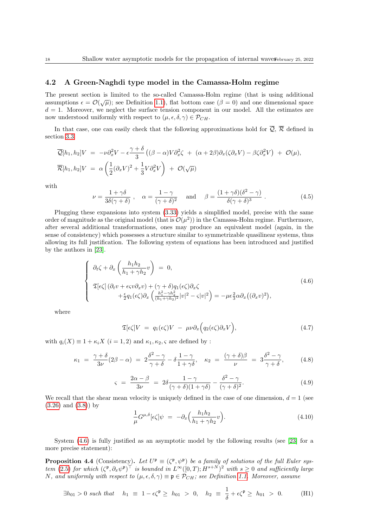#### <span id="page-17-0"></span>4.2 A Green-Naghdi type model in the Camassa-Holm regime

The present section is limited to the so-called Camassa-Holm regime (that is using additional assumptions  $\epsilon = \mathcal{O}(\sqrt{\mu})$ ; see Definition [1.1\)](#page-3-0), flat bottom case ( $\beta = 0$ ) and one dimensional space  $d = 1$ . Moreover, we neglect the surface tension component in our model. All the estimates are now understood uniformly with respect to  $(\mu, \epsilon, \delta, \gamma) \in \mathcal{P}_{CH}$ .

In that case, one can easily check that the following approximations hold for  $\overline{Q}$ ,  $\overline{\mathcal{R}}$  defined in section [3.3](#page-10-0)

$$
\overline{\mathcal{Q}}[h_1, h_2]V = -\nu \partial_x^2 V - \epsilon \frac{\gamma + \delta}{3} \left( (\beta - \alpha) V \partial_x^2 \zeta + (\alpha + 2\beta) \partial_x (\zeta \partial_x V) - \beta \zeta \partial_x^2 V \right) + \mathcal{O}(\mu),
$$
  

$$
\overline{\mathcal{R}}[h_1, h_2]V = \alpha \left( \frac{1}{2} (\partial_x V)^2 + \frac{1}{3} V \partial_x^2 V \right) + \mathcal{O}(\sqrt{\mu})
$$

with

$$
\nu = \frac{1 + \gamma \delta}{3\delta(\gamma + \delta)}, \quad \alpha = \frac{1 - \gamma}{(\gamma + \delta)^2} \quad \text{and} \quad \beta = \frac{(1 + \gamma \delta)(\delta^2 - \gamma)}{\delta(\gamma + \delta)^3} \,. \tag{4.5}
$$

Plugging these expansions into system [\(3.33\)](#page-15-4) yields a simplified model, precise with the same order of magnitude as the original model (that is  $\mathcal{O}(\mu^2)$ ) in the Camassa-Holm regime. Furthermore, after several additional transformations, ones may produce an equivalent model (again, in the sense of consistency) which possesses a structure similar to symmetrizable quasilinear systems, thus allowing its full justification. The following system of equations has been introduced and justified by the authors in [\[23\]](#page-26-15).

<span id="page-17-2"></span>
$$
\begin{cases}\n\partial_t \zeta + \partial_x \left( \frac{h_1 h_2}{h_1 + \gamma h_2} v \right) = 0, \\
\mathfrak{T}[\epsilon \zeta] \left( \partial_t v + \epsilon \zeta v \partial_x v \right) + (\gamma + \delta) q_1(\epsilon \zeta) \partial_x \zeta \\
+ \frac{\epsilon}{2} q_1(\epsilon \zeta) \partial_x \left( \frac{h_1^2 - \gamma h_2^2}{(h_1 + \gamma h_2)^2} |v|^2 - \zeta |v|^2 \right) = -\mu \epsilon \frac{2}{3} \alpha \partial_x \left( (\partial_x v)^2 \right),\n\end{cases} (4.6)
$$

where

$$
\mathfrak{T}[\epsilon\zeta]V = q_1(\epsilon\zeta)V - \mu\nu\partial_x\Big(q_2(\epsilon\zeta)\partial_xV\Big),\tag{4.7}
$$

with  $q_i(X) \equiv 1 + \kappa_i X$   $(i = 1, 2)$  and  $\kappa_1, \kappa_2, \varsigma$  are defined by :

$$
\kappa_1 = \frac{\gamma + \delta}{3\nu}(2\beta - \alpha) = 2\frac{\delta^2 - \gamma}{\gamma + \delta} - \delta\frac{1 - \gamma}{1 + \gamma\delta}, \quad \kappa_2 = \frac{(\gamma + \delta)\beta}{\nu} = 3\frac{\delta^2 - \gamma}{\gamma + \delta}, \quad (4.8)
$$

$$
\varsigma = \frac{2\alpha - \beta}{3\nu} = 2\delta \frac{1 - \gamma}{(\gamma + \delta)(1 + \gamma\delta)} - \frac{\delta^2 - \gamma}{(\gamma + \delta)^2}.
$$
\n(4.9)

We recall that the shear mean velocity is uniquely defined in the case of one dimension,  $d = 1$  (see [\(3.26\)](#page-12-5) and [\(3.8\)](#page-9-10)) by

<span id="page-17-4"></span><span id="page-17-3"></span>
$$
\frac{1}{\mu}G^{\mu,\delta}[\epsilon\zeta]\psi = -\partial_x\Big(\frac{h_1h_2}{h_1+\gamma h_2}v\Big). \tag{4.10}
$$

System [\(4.6\)](#page-17-2) is fully justified as an asymptotic model by the following results (see [\[23\]](#page-26-15) for a more precise statement):

**Proposition 4.4** (Consistency). Let  $U^{\mathfrak{p}} \equiv (\zeta^{\mathfrak{p}}, \psi^{\mathfrak{p}})$  be a family of solutions of the full Euler sys-tem [\(2.5\)](#page-6-3) for which  $(\zeta^{\mathfrak{p}}, \partial_x \psi^{\mathfrak{p}})^{\top}$  is bounded in  $L^{\infty}([0, T); H^{s+N})^2$  with  $s \geq 0$  and sufficiently large N, and uniformly with respect to  $(\mu, \epsilon, \delta, \gamma) \equiv \mathfrak{p} \in \mathcal{P}_{CH}$ ; see Definition [1.1.](#page-3-0) Moreover, assume

<span id="page-17-1"></span>
$$
\exists h_{01} > 0 \text{ such that } h_1 \equiv 1 - \epsilon \zeta^{\mathfrak{p}} \ge h_{01} > 0, \quad h_2 \equiv \frac{1}{\delta} + \epsilon \zeta^{\mathfrak{p}} \ge h_{01} > 0. \tag{H1}
$$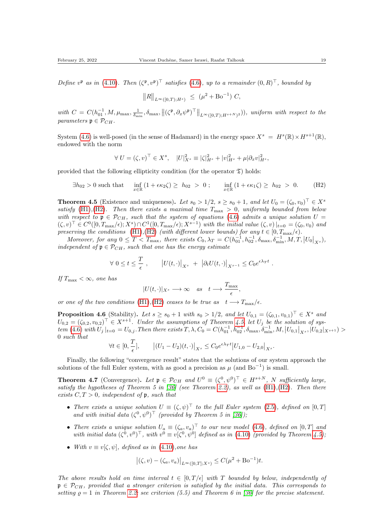Define  $v^{\mathfrak{p}}$  as in [\(4.10\)](#page-17-3). Then  $(\zeta^{\mathfrak{p}}, v^{\mathfrak{p}})^{\top}$  satisfies [\(4.6\)](#page-17-2), up to a remainder  $(0, R)^{\top}$ , bounded by

<span id="page-18-0"></span>
$$
||R||_{L^{\infty}([0,T);H^{s})} \leq (\mu^{2} + \text{Bo}^{-1}) C,
$$

with  $C = C(h_{01}^{-1}, M, \mu_{\text{max}}, \frac{1}{\delta_{\text{min}}}, \delta_{\text{max}}, ||(\zeta^{\mathfrak{p}}, \partial_x \psi^{\mathfrak{p}})^{\top}||_{L^{\infty}([0,T); H^{s+N})^2})),$  uniform with respect to the parameters  $\mathfrak{p} \in \mathcal{P}_{CH}$ .

System [\(4.6\)](#page-17-2) is well-posed (in the sense of Hadamard) in the energy space  $X^s = H^s(\mathbb{R}) \times H^{s+1}(\mathbb{R})$ , endowed with the norm

$$
\forall U = (\zeta, v)^\top \in X^s, \quad |U|_{X^s}^2 \equiv |\zeta|_{H^s}^2 + |v|_{H^s}^2 + \mu |\partial_x v|_{H^s}^2,
$$

provided that the following ellipticity condition (for the operator  $\mathfrak{T}$ ) holds:

$$
\exists h_{02} > 0 \text{ such that } \inf_{x \in \mathbb{R}} (1 + \epsilon \kappa_2 \zeta) \ge h_{02} > 0; \quad \inf_{x \in \mathbb{R}} (1 + \epsilon \kappa_1 \zeta) \ge h_{02} > 0. \quad (H2)
$$

<span id="page-18-1"></span>**Theorem 4.5** (Existence and uniqueness). Let  $s_0 > 1/2$ ,  $s \geq s_0 + 1$ , and let  $U_0 = (\zeta_0, v_0)^\top \in X^s$ satisfy [\(H1\)](#page-17-4), [\(H2\)](#page-18-0). Then there exists a maximal time  $T_{\text{max}} > 0$ , uniformly bounded from below with respect to  $\mathfrak{p} \in \mathcal{P}_{CH}$ , such that the system of equations [\(4.6\)](#page-17-2) admits a unique solution  $U =$  $(\zeta, v)^\top \in C^0([0, T_{\max}/\epsilon); X^s) \cap C^1([0, T_{\max}/\epsilon); X^{s-1})$  with the initial value  $(\zeta, v)|_{t=0} = (\zeta_0, v_0)$  and preserving the conditions [\(H1\)](#page-17-4),[\(H2\)](#page-18-0) (with different lower bounds) for any  $t \in [0, T_{\text{max}}/\epsilon)$ .

Moreover, for any  $0 \leq T < T_{\text{max}}$ , there exists  $C_0$ ,  $\lambda_T = C(h_{01}^{-1}, h_{02}^{-1}, \delta_{\text{max}}, \delta_{\text{min}}^{-1}, M, T, |U_0|_{X^s})$ , independent of  $\mathfrak{p} \in \mathcal{P}_{CH}$ , such that one has the energy estimate

$$
\forall 0 \leq t \leq \frac{T}{\epsilon}, \qquad \left| U(t, \cdot) \right|_{X^s} + \left| \partial_t U(t, \cdot) \right|_{X^{s-1}} \leq C_0 e^{\epsilon \lambda_T t}.
$$

If  $T_{\text{max}} < \infty$ , one has

$$
|U(t,\cdot)|_{X^s}\longrightarrow\infty \quad as \quad t\longrightarrow \frac{T_{\max}}{\epsilon},
$$

or one of the two conditions [\(H1\)](#page-17-4),[\(H2\)](#page-18-0) ceases to be true as  $t \rightarrow T_{\text{max}}/\epsilon$ .

**Proposition 4.6** (Stability). Let  $s \ge s_0 + 1$  with  $s_0 > 1/2$ , and let  $U_{0,1} = (\zeta_{0,1}, v_{0,1})^\top \in X^s$  and  $U_{0,2} = (\zeta_{0,2}, v_{0,2})^\top \in X^{s+1}$ . Under the assumptions of Theorem [4.5,](#page-18-1) let  $U_j$  be the solution of sys- $\lim_{M \to \infty} (4.6)$  $\lim_{M \to \infty} (4.6)$  with  $U_j|_{t=0} = U_{0,j}$ . Then there exists  $T, \lambda, C_0 = C(h_{01}^{-1}, h_{02}^{-1}, \delta_{\max}, \delta_{\min}^{-1}, M, |U_{0,1}|_{X^s}, |U_{0,2}|_{X^{s+1}}) >$ 0 such that

$$
\forall t \in [0, \frac{T}{\epsilon}], \qquad \left| (U_1 - U_2)(t, \cdot) \right|_{X^s} \leq C_0 e^{\epsilon \lambda_T t} \left| U_{1,0} - U_{2,0} \right|_{X^s}.
$$

Finally, the following "convergence result" states that the solutions of our system approach the solutions of the full Euler system, with as good a precision as  $\mu$  (and Bo<sup>-1</sup>) is small.

<span id="page-18-2"></span>**Theorem 4.7** (Convergence). Let  $\mathfrak{p} \in \mathcal{P}_{CH}$  and  $U^0 \equiv (\zeta^0, \psi^0)^\top \in H^{s+N}$ , N sufficiently large, satisfy the hypotheses of Theorem 5 in [\[36\]](#page-27-15) (see Theorem [2.2\)](#page-7-0), as well as  $(H1),(H2)$  $(H1),(H2)$  $(H1),(H2)$ . Then there exists  $C, T > 0$ , independent of p, such that

- There exists a unique solution  $U \equiv (\zeta, \psi)^{\top}$  to the full Euler system [\(2.5\)](#page-6-3), defined on [0, T] and with initial data  $(\zeta^0, \psi^0)^\top$  (provided by Theorem 5 in [\[36\]](#page-27-15));
- There exists a unique solution  $U_a \equiv (\zeta_a, v_a)^\top$  to our new model [\(4.6\)](#page-17-2), defined on [0,T] and with initial data  $(\zeta^0, v^0)^\top$ , with  $v^0 \equiv v[\zeta^0, \psi^0]$  defined as in [\(4.10\)](#page-17-3) (provided by Theorem [4.5\)](#page-18-1);
- With  $v \equiv v[\zeta, \psi]$ , defined as in [\(4.10\)](#page-17-3), one has

$$
|(\zeta, v) - (\zeta_a, v_a)|_{L^{\infty}([0,T];X^s)} \le C(\mu^2 + \text{Bo}^{-1})t.
$$

The above results hold on time interval  $t \in [0, T/\epsilon]$  with T bounded by below, independently of  $\mathfrak{p} \in \mathcal{P}_{CH}$ , provided that a stronger criterion is satisfied by the initial data. This corresponds to setting  $\rho = 1$  in Theorem [2.2;](#page-7-0) see criterion (5.5) and Theorem 6 in [\[36\]](#page-27-15) for the precise statement.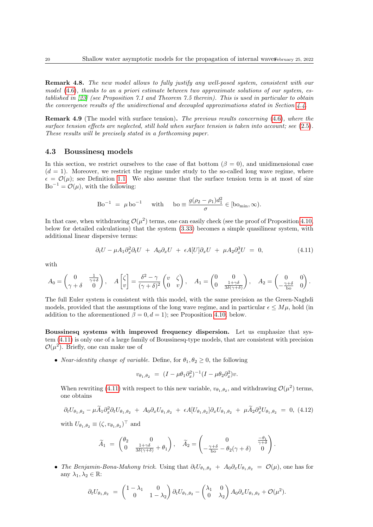Remark 4.8. The new model allows to fully justify any well-posed system, consistent with our model  $(4.6)$ , thanks to an a priori estimate between two approximate solutions of our system, established in [\[23\]](#page-26-15) (see Proposition 7.1 and Theorem 7.5 therein). This is used in particular to obtain the convergence results of the unidirectional and decoupled approximations stated in Section [4.4.](#page-23-0)

Remark 4.9 (The model with surface tension). The previous results concerning [\(4.6\)](#page-17-2), where the surface tension effects are neglected, still hold when surface tension is taken into account; see [\(2.5\)](#page-6-3). These results will be precisely stated in a forthcoming paper.

#### <span id="page-19-0"></span>4.3 Boussinesq models

In this section, we restrict ourselves to the case of flat bottom ( $\beta = 0$ ), and unidimensional case  $(d = 1)$ . Moreover, we restrict the regime under study to the so-called long wave regime, where  $\epsilon = \mathcal{O}(\mu)$ ; see Definition [1.1.](#page-3-0) We also assume that the surface tension term is at most of size  $Bo^{-1} = \mathcal{O}(\mu)$ , with the following:

$$
\text{Bo}^{-1} = \mu \text{ bo}^{-1} \quad \text{with} \quad \text{bo} \equiv \frac{g(\rho_2 - \rho_1)d_1^2}{\sigma} \in [\text{bo}_{\text{min}}, \infty).
$$

In that case, when withdrawing  $\mathcal{O}(\mu^2)$  terms, one can easily check (see the proof of Proposition [4.10,](#page-20-0) below for detailed calculations) that the system [\(3.33\)](#page-15-4) becomes a simple quasilinear system, with additional linear dispersive terms:

$$
\partial_t U - \mu A_1 \partial_x^2 \partial_t U + A_0 \partial_x U + \epsilon A [U] \partial_x U + \mu A_2 \partial_x^3 U = 0, \qquad (4.11)
$$

with

$$
A_0 = \begin{pmatrix} 0 & \frac{1}{\gamma + \delta} \\ \gamma + \delta & 0 \end{pmatrix}, \quad A \begin{bmatrix} \zeta \\ v \end{bmatrix} = \frac{\delta^2 - \gamma}{(\gamma + \delta)^2} \begin{pmatrix} v & \zeta \\ 0 & v \end{pmatrix}, \quad A_1 = \begin{pmatrix} 0 & 0 \\ 0 & \frac{1 + \gamma \delta}{3\delta(\gamma + \delta)} \end{pmatrix}, \quad A_2 = \begin{pmatrix} 0 & 0 \\ -\frac{\gamma + \delta}{\mathrm{bo}} & 0 \end{pmatrix}.
$$

The full Euler system is consistent with this model, with the same precision as the Green-Naghdi models, provided that the assumptions of the long wave regime, and in particular  $\epsilon \leq M\mu$ , hold (in addition to the aforementioned  $\beta = 0, d = 1$ ; see Proposition [4.10,](#page-20-0) below.

Boussinesq systems with improved frequency dispersion. Let us emphasize that system [\(4.11\)](#page-17-1) is only one of a large family of Boussinesq-type models, that are consistent with precision  $\mathcal{O}(\mu^2)$ . Briefly, one can make use of

• *Near-identity change of variable.* Define, for  $\theta_1, \theta_2 \geq 0$ , the following

$$
v_{\theta_1, \theta_2} = (I - \mu \theta_1 \partial_x^2)^{-1} (I - \mu \theta_2 \partial_x^2) v.
$$

When rewriting [\(4.11\)](#page-17-1) with respect to this new variable,  $v_{\theta_1,\theta_2}$ , and withdrawing  $\mathcal{O}(\mu^2)$  terms, one obtains

<span id="page-19-1"></span>
$$
\partial_t U_{\theta_1, \theta_2} - \mu \widetilde{A}_1 \partial_x^2 \partial_t U_{\theta_1, \theta_2} + A_0 \partial_x U_{\theta_1, \theta_2} + \epsilon A [U_{\theta_1, \theta_2}] \partial_x U_{\theta_1, \theta_2} + \mu \widetilde{A}_2 \partial_x^3 U_{\theta_1, \theta_2} = 0, (4.12)
$$

with  $U_{\theta_1,\theta_2} \equiv (\zeta, v_{\theta_1,\theta_2})^{\top}$  and

$$
\widetilde{A}_1 = \begin{pmatrix} \theta_2 & 0 \\ 0 & \frac{1+\gamma\delta}{3\delta(\gamma+\delta)} + \theta_1 \end{pmatrix}, \quad \widetilde{A}_2 = \begin{pmatrix} 0 & \frac{-\theta_1}{\gamma+\delta} \\ -\frac{\gamma+\delta}{\rm bo} - \theta_2(\gamma+\delta) & 0 \end{pmatrix}.
$$

• The Benjamin-Bona-Mahony trick. Using that  $\partial_t U_{\theta_1,\theta_2} + A_0 \partial_x U_{\theta_1,\theta_2} = \mathcal{O}(\mu)$ , one has for any  $\lambda_1, \lambda_2 \in \mathbb{R}$ :

$$
\partial_t U_{\theta_1, \theta_2} = \begin{pmatrix} 1 - \lambda_1 & 0 \\ 0 & 1 - \lambda_2 \end{pmatrix} \partial_t U_{\theta_1, \theta_2} - \begin{pmatrix} \lambda_1 & 0 \\ 0 & \lambda_2 \end{pmatrix} A_0 \partial_x U_{\theta_1, \theta_2} + \mathcal{O}(\mu^2).
$$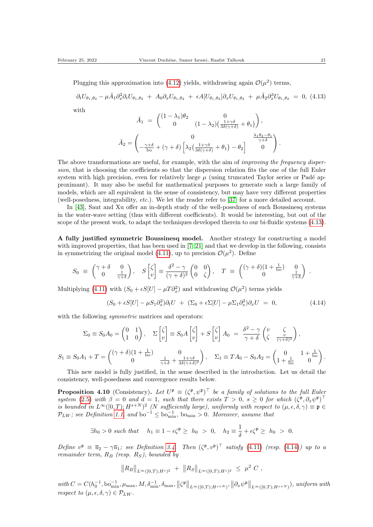Plugging this approximation into [\(4.12\)](#page-19-1) yields, withdrawing again  $\mathcal{O}(\mu^2)$  terms,

<span id="page-20-1"></span> $\partial_t U_{\theta_1, \theta_2} - \mu \breve{A}_1 \partial_x^2 \partial_t U_{\theta_1, \theta_2} + A_0 \partial_x U_{\theta_1, \theta_2} + \epsilon A [U_{\theta_1, \theta_2}] \partial_x U_{\theta_1, \theta_2} + \mu \breve{A}_2 \partial_x^3 U_{\theta_1, \theta_2} = 0, (4.13)$ with

$$
\check{A}_1 = \begin{pmatrix}\n(1 - \lambda_1)\theta_2 & 0 \\
0 & (1 - \lambda_2)\left(\frac{1 + \gamma \delta}{3\delta(\gamma + \delta)} + \theta_1\right)\n\end{pmatrix},
$$
\n
$$
\check{A}_2 = \begin{pmatrix}\n0 & \frac{\lambda_1 \theta_2 - \theta_1}{\gamma + \delta} \\
-\frac{\gamma + \delta}{\text{bo}} + (\gamma + \delta) \left[\lambda_2 \left(\frac{1 + \gamma \delta}{3\delta(\gamma + \delta)} + \theta_1\right) - \theta_2\right] & 0\n\end{pmatrix}.
$$

The above transformations are useful, for example, with the aim of *improving the frequency disper*sion, that is choosing the coefficients so that the dispersion relation fits the one of the full Euler system with high precision, even for relatively large  $\mu$  (using truncated Taylor series or Padé approximant). It may also be useful for mathematical purposes to generate such a large family of models, which are all equivalent in the sense of consistency, but may have very different properties (well-posedness, integrability, etc.). We let the reader refer to [\[37\]](#page-27-0) for a more detailed account.

In [\[43\]](#page-27-11), Saut and Xu offer an in-depth study of the well-posedness of such Boussinesq systems in the water-wave setting (thus with different coefficients). It would be interesting, but out of the scope of the present work, to adapt the techniques developed therein to our bi-fluidic systems  $(4.13)$ .

A fully justified symmetric Boussinesq model. Another strategy for constructing a model with improved properties, that has been used in [\[7,](#page-25-8) [21\]](#page-26-18) and that we develop in the following, consists in symmetrizing the original model [\(4.11\)](#page-17-1), up to precision  $\mathcal{O}(\mu^2)$ . Define

$$
S_0 \equiv \begin{pmatrix} \gamma + \delta & 0 \\ 0 & \frac{1}{\gamma + \delta} \end{pmatrix}, \quad S \begin{bmatrix} \zeta \\ v \end{bmatrix} \equiv \frac{\delta^2 - \gamma}{(\gamma + \delta)^2} \begin{pmatrix} 0 & 0 \\ 0 & \zeta \end{pmatrix}, \quad T \equiv \begin{pmatrix} (\gamma + \delta)(1 + \frac{1}{bo}) & 0 \\ 0 & \frac{1}{\gamma + \delta} \end{pmatrix}.
$$

Multiplying [\(4.11\)](#page-17-1) with  $(S_0 + \epsilon S[U] - \mu T \partial_x^2)$  and withdrawing  $\mathcal{O}(\mu^2)$  terms yields

<span id="page-20-2"></span>
$$
(S_0 + \epsilon S[U] - \mu S_1 \partial_x^2) \partial_t U + (\Sigma_0 + \epsilon \Sigma[U] - \mu \Sigma_1 \partial_x^2) \partial_x U = 0,
$$
\n(4.14)

with the following *symmetric* matrices and operators:

$$
\Sigma_0 \equiv S_0 A_0 = \begin{pmatrix} 0 & 1 \\ 1 & 0 \end{pmatrix}, \quad \Sigma \begin{bmatrix} \zeta \\ v \end{bmatrix} \equiv S_0 A \begin{bmatrix} \zeta \\ v \end{bmatrix} + S \begin{bmatrix} \zeta \\ v \end{bmatrix} A_0 = \frac{\delta^2 - \gamma}{\gamma + \delta} \begin{pmatrix} v & \zeta \\ \zeta & \frac{v}{(\gamma + \delta)^2} \end{pmatrix},
$$

$$
S_1 \equiv S_0 A_1 + T = \begin{pmatrix} (\gamma + \delta)(1 + \frac{1}{\text{bo}}) & 0 \\ 0 & \frac{1}{\gamma + \delta} + \frac{1 + \gamma \delta}{3\delta(\gamma + \delta)^2} \end{pmatrix}, \quad \Sigma_1 \equiv T A_0 - S_0 A_2 = \begin{pmatrix} 0 & 1 + \frac{1}{\text{bo}} \\ 1 + \frac{1}{\text{bo}} & 0 \end{pmatrix}.
$$

This new model is fully justified, in the sense described in the introduction. Let us detail the consistency, well-posedness and convergence results below.

<span id="page-20-0"></span>**Proposition 4.10** (Consistency). Let  $U^{\mathfrak{p}} \equiv (\zeta^{\mathfrak{p}}, \psi^{\mathfrak{p}})^{\top}$  be a family of solutions to the full Euler system [\(2.5\)](#page-6-3) with  $\beta = 0$  and  $d = 1$ , such that there exists  $T > 0$ ,  $s \geq 0$  for which  $(\zeta^{\mathfrak{p}}, \partial_x \psi^{\mathfrak{p}})^{\top}$ is bounded in  $L^{\infty}([0,T); H^{s+N})^2$  (N sufficiently large), uniformly with respect to  $(\mu, \epsilon, \delta, \gamma) \equiv \mathfrak{p} \in$  $\mathcal{P}_{LW}$ ; see Definition [1.1,](#page-3-0) and bo<sup>-1</sup>  $\leq$  bo<sub>min</sub>, bo<sub>min</sub> > 0. Moreover, assume that

$$
\exists h_0 > 0 \text{ such that } h_1 \equiv 1 - \epsilon \zeta^{\mathfrak{p}} \ge h_0 > 0, \quad h_2 \equiv \frac{1}{\delta} + \epsilon \zeta^{\mathfrak{p}} \ge h_0 > 0.
$$

Define  $v^p \equiv \overline{u}_2 - \gamma \overline{u}_1$ ; see Definition [3.4.](#page-8-2) Then  $(\zeta^p, v^p)^\top$  satisfy [\(4.11\)](#page-17-1) (resp. [\(4.14\)](#page-20-2)) up to a remainder term,  $R_B$  (resp.  $R_S$ ), bounded by

$$
||R_B||_{L^{\infty}([0,T);H^s)^2} + ||R_S||_{L^{\infty}([0,T);H^s)^2} \leq \mu^2 C,
$$

 $with C = C(h_0^{-1}, \text{bo}_{\text{min}}^{-1}, \mu_{\text{max}}, M, \delta_{\text{min}}^{-1}, \delta_{\text{max}}, \left\Vert \zeta^{\mathfrak{p}} \right\Vert_{L^{\infty}([0,T); H^{s+N}}), \left\Vert \partial_x \psi^{\mathfrak{p}} \right\Vert_{L^{\infty}([0,T); H^{s+N}}), \text{ uniform with}$ respect to  $(\mu, \epsilon, \delta, \gamma) \in \mathcal{P}_{LW}$ .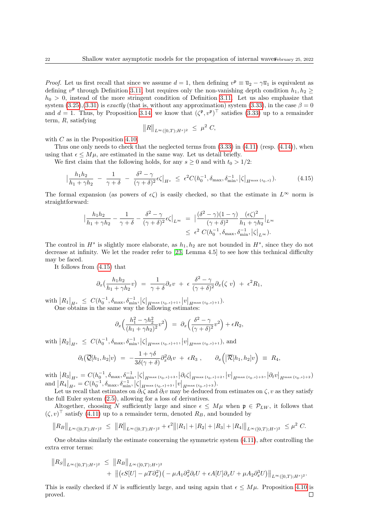*Proof.* Let us first recall that since we assume  $d = 1$ , then defining  $v^{\mathfrak{p}} \equiv \overline{u}_2 - \gamma \overline{u}_1$  is equivalent as defining  $v^{\mathfrak{p}}$  through Definition [3.11,](#page-12-0) but requires only the non-vanishing depth condition  $h_1, h_2 \geq$  $h_0 > 0$ , instead of the more stringent condition of Definition [3.11.](#page-12-0) Let us also emphasize that system [\(3.25\)](#page-12-4),[\(3.31\)](#page-14-0) is exactly (that is, without any approximation) system [\(3.33\)](#page-15-4), in the case  $\beta = 0$ and  $d = 1$ . Thus, by Proposition [3.14,](#page-14-1) we know that  $(\zeta^{\mathfrak{p}}, v^{\mathfrak{p}})^{\top}$  satisfies [\(3.33\)](#page-15-4) up to a remainder term, R, satisfying

$$
||R||_{L^{\infty}([0,T);H^{s})^{2}} \leq \mu^{2} C,
$$

with C as in the Proposition [4.10.](#page-20-0)

Thus one only needs to check that the neglected terms from  $(3.33)$  in  $(4.11)$  (resp.  $(4.14)$ ), when using that  $\epsilon \leq M\mu$ , are estimated in the same way. Let us detail briefly.

We first claim that the following holds, for any  $s \geq 0$  and with  $t_0 > 1/2$ :

<span id="page-21-0"></span>
$$
\left| \frac{h_1 h_2}{h_1 + \gamma h_2} - \frac{1}{\gamma + \delta} - \frac{\delta^2 - \gamma}{(\gamma + \delta)^2} \epsilon \zeta \right|_{H^s} \le \epsilon^2 C(h_0^{-1}, \delta_{\max}, \delta_{\min}^{-1}, |\zeta|_{H^{\max} \{t_0, s\}}). \tag{4.15}
$$

The formal expansion (as powers of  $\epsilon \zeta$ ) is easily checked, so that the estimate in  $L^{\infty}$  norm is straightforward:

$$
\left| \frac{h_1 h_2}{h_1 + \gamma h_2} - \frac{1}{\gamma + \delta} - \frac{\delta^2 - \gamma}{(\gamma + \delta)^2} \epsilon \zeta \right|_{L^\infty} = \left| \frac{(\delta^2 - \gamma)(1 - \gamma)}{(\gamma + \delta)^2} \frac{(\epsilon \zeta)^2}{h_1 + \gamma h_2} \right|_{L^\infty} \le \epsilon^2 C (h_0^{-1}, \delta_{\max}, \delta_{\min}^{-1}, |\zeta|_{L^\infty}).
$$

The control in  $H^s$  is slightly more elaborate, as  $h_1, h_2$  are not bounded in  $H^s$ , since they do not decrease at infinity. We let the reader refer to [\[23,](#page-26-15) Lemma 4.5] to see how this technical difficulty may be faced.

It follows from [\(4.15\)](#page-21-0) that

$$
\partial_x \big( \frac{h_1 h_2}{h_1 + \gamma h_2} v \big) = \frac{1}{\gamma + \delta} \partial_x v + \epsilon \frac{\delta^2 - \gamma}{(\gamma + \delta)^2} \partial_x (\zeta v) + \epsilon^2 R_1,
$$

 $\text{with} \begin{aligned} \big|R_1\big|_{H^s} \, \leq \, & \, C(h_0^{-1},\delta_{\max},\delta_{\min}^{-1},\big|\zeta\big|_{H^{\max{t_0,s\}+1}},\big|v\big|_{H^{\max{t_0,s\}+1}}). \end{aligned}$ One obtains in the same way the following estimates:

$$
\partial_x \left( \frac{h_1^2 - \gamma h_2^2}{(h_1 + \gamma h_2)^2} v^2 \right) = \partial_x \left( \frac{\delta^2 - \gamma}{(\gamma + \delta)^2} v^2 \right) + \epsilon R_2,
$$

with  $|R_2|_{H^s} \leq C(h_0^{-1}, \delta_{\max}, \delta_{\min}^{-1}, |\zeta|_{H^{\max} \{t_0, s\}+1}, |v|_{H^{\max} \{t_0, s\}+1}),$  and

$$
\partial_t (\overline{\mathcal{Q}}[h_1, h_2]v) = -\frac{1+\gamma\delta}{3\delta(\gamma+\delta)}\partial_x^2 \partial_t v + \epsilon R_3 , \qquad \partial_x \left( [\overline{\mathcal{R}}[h_1, h_2]v \right) \equiv R_4 ,
$$

 $\text{with} \ \big|R_3\big|_{H^s}=C(h_0^{-1},\delta_{\max},\delta_{\min}^{-1},\big|\zeta\big|_{H^{\max \{t_0,s\}+3}},\big|\partial_t\zeta\big|_{H^{\max \{t_0,s\}+2}},\big|v\big|_{H^{\max \{t_0,s\}+3}},\big|\partial_t v\big|_{H^{\max \{t_0,s\}+3 }}\big)$  $\text{and}$   $|R_4|_{H^s} = C(h_0^{-1}, \delta_{\text{max}}, \delta_{\text{min}}^{-1}, |\zeta|_{H^{\max} \{t_0, s\}+3}, |v|_{H^{\max} \{t_0, s\}+3})$ 

Let us recall that estimates on  $\partial_t \zeta$  and  $\partial_t v$  may be deduced from estimates on  $\zeta$ , v as they satisfy the full Euler system [\(2.5\)](#page-6-3), allowing for a loss of derivatives.

Altogether, choosing N sufficiently large and since  $\epsilon \leq M\mu$  when  $\mathfrak{p} \in \mathcal{P}_{LW}$ , it follows that  $(\zeta, v)$ <sup>T</sup> satisfy [\(4.11\)](#page-17-1) up to a remainder term, denoted  $R_B$ , and bounded by

$$
||R_B||_{L^{\infty}([0,T);H^s)^2} \leq ||R||_{L^{\infty}([0,T);H^s)^2} + \epsilon^2 ||R_1| + |R_2| + |R_3| + |R_4||_{L^{\infty}([0,T);H^s)^2} \leq \mu^2 C.
$$

One obtains similarly the estimate concerning the symmetric system [\(4.11\)](#page-17-1), after controlling the extra error terms:

$$
||R_S||_{L^{\infty}([0,T);H^s)^2} \leq ||R_B||_{L^{\infty}([0,T);H^s)^2}
$$
  
+ 
$$
||(\epsilon S[U] - \mu T \partial_x^2)(-\mu A_1 \partial_x^2 \partial_t U + \epsilon A[U] \partial_x U + \mu A_2 \partial_x^3 U)||_{L^{\infty}([0,T);H^s)^2}.
$$

This is easily checked if N is sufficiently large, and using again that  $\epsilon \leq M\mu$ . Proposition [4.10](#page-20-0) is proved. $\Box$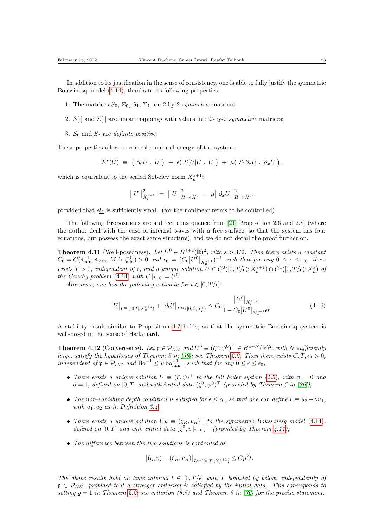In addition to its justification in the sense of consistency, one is able to fully justify the symmetric Boussinesq model [\(4.14\)](#page-20-2), thanks to its following properties:

- 1. The matrices  $S_0$ ,  $\Sigma_0$ ,  $S_1$ ,  $\Sigma_1$  are 2-by-2 symmetric matrices;
- 2. S[·] and  $\Sigma[\cdot]$  are linear mappings with values into 2-by-2 symmetric matrices;
- 3.  $S_0$  and  $S_2$  are *definite positive*.

These properties allow to control a natural energy of the system:

$$
E^{s}(U) \equiv (S_0U, U) + \epsilon (S[\underline{U}]U, U) + \mu (S_1 \partial_x U, \partial_x U),
$$

which is equivalent to the scaled Sobolev norm  $X^{s+1}_{\mu}$ :

$$
\left| U \right|_{X^{s+1}_{\mu}}^{2} = \left| U \right|_{H^{s} \times H^{s}}^{2} + \mu \left| \partial_{x} U \right|_{H^{s} \times H^{s}}^{2},
$$

provided that  $\epsilon U$  is sufficiently small, (for the nonlinear terms to be controlled).

The following Propositions are a direct consequence from [\[21,](#page-26-18) Proposition 2.6 and 2.8] (where the author deal with the case of internal waves with a free surface, so that the system has four equations, but possess the exact same structure), and we do not detail the proof further on.

<span id="page-22-0"></span>**Theorem 4.11** (Well-posedness). Let  $U^0 \in H^{s+1}(\mathbb{R})^2$ , with  $s > 3/2$ . Then there exists a constant  $C_0 = C(\delta_{\min}^{-1}, \delta_{\max}, M, \text{bo}_{\min}^{-1}) > 0$  and  $\epsilon_0 = (C_0|U^0|_{X^{s+1}_\mu})^{-1}$  such that for any  $0 \le \epsilon \le \epsilon_0$ , there exists  $T > 0$ , independent of  $\epsilon$ , and a unique solution  $U \in C^0([0, T/\epsilon); X_\mu^{s+1}) \cap C^1([0, T/\epsilon); X_\mu^s)$  of the Cauchy problem [\(4.14\)](#page-20-2) with  $U|_{t=0} = U^0$ .

Moreover, one has the following estimate for  $t \in [0, T/\epsilon]$ :

$$
\left|U\right|_{L^{\infty}([0,t];X_{\mu}^{s+1})} + \left|\partial_t U\right|_{L^{\infty}([0,t];X_{\mu}^s)} \leq C_0 \frac{\left|U^0\right|_{X_{\mu}^{s+1}}}{1 - C_0|U^0|_{X_{\mu}^{s+1}}\epsilon t}.
$$
\n(4.16)

A stability result similar to Proposition [4.7](#page-18-2) holds, so that the symmetric Boussinesq system is well-posed in the sense of Hadamard.

**Theorem 4.12** (Convergence). Let  $\mathfrak{p} \in \mathcal{P}_{LW}$  and  $U^0 \equiv (\zeta^0, \psi^0)^\top \in H^{s+N}(\mathbb{R})^2$ , with N sufficiently large, satisfy the hypotheses of Theorem 5 in [\[36\]](#page-27-15); see Theorem [2.2.](#page-7-0) Then there exists  $C, T, \epsilon_0 > 0$ , independent of  $\mathfrak{p} \in \mathcal{P}_{LW}$  and  $Bo^{-1} \leq \mu \log_{\min}^{-1}$ , such that for any  $0 \leq \epsilon \leq \epsilon_0$ ,

- There exists a unique solution  $U \equiv (\zeta, \psi)^{\top}$  to the full Euler system [\(2.5\)](#page-6-3), with  $\beta = 0$  and  $d=1$ , defined on  $[0,T]$  and with initial data  $(\zeta^0, \psi^0)^\top$  (provided by Theorem 5 in [\[36\]](#page-27-15));
- The non-vanishing depth condition is satisfied for  $\epsilon \leq \epsilon_0$ , so that one can define  $v \equiv \overline{u}_2 \gamma \overline{u}_1$ , with  $\overline{u}_1, \overline{u}_2$  as in Definition [3.4;](#page-8-2)
- There exists a unique solution  $U_B \equiv (\zeta_B, v_B)^{\top}$  to the symmetric Boussinesq model [\(4.14\)](#page-20-2), defined on [0, T] and with initial data  $(\zeta^0, v|_{t=0})^{\top}$  (provided by Theorem [4.11\)](#page-22-0);
- The difference between the two solutions is controlled as

$$
|(\zeta, v) - (\zeta_B, v_B)|_{L^{\infty}([0,T]; X^{s+1}_{\mu})} \leq C\mu^2 t.
$$

The above results hold on time interval  $t \in [0, T/\epsilon]$  with T bounded by below, independently of  $\mathfrak{p} \in \mathcal{P}_{LW}$ , provided that a stronger criterion is satisfied by the initial data. This corresponds to setting  $\rho = 1$  in Theorem [2.2;](#page-7-0) see criterion (5.5) and Theorem 6 in [\[36\]](#page-27-15) for the precise statement.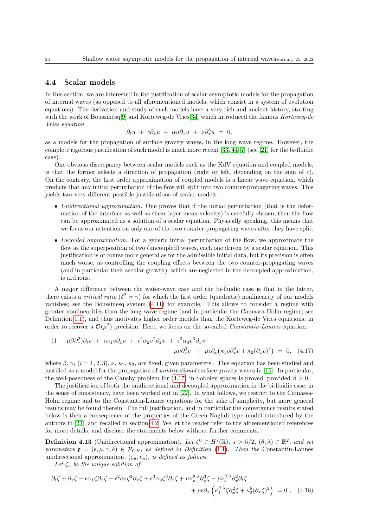#### <span id="page-23-0"></span>4.4 Scalar models

In this section, we are interested in the justification of scalar asymptotic models for the propagation of internal waves (as opposed to all aforementioned models, which consist in a system of evolution equations). The derivation and study of such models have a very rich and ancient history, starting with the work of Boussinesq<sup>[\[9\]](#page-25-2)</sup> and Korteweg-de Vries<sup>[\[34\]](#page-27-12)</sup> which introduced the famous Korteweg-de Vries equation

$$
\partial_t u + c \partial_x u + \alpha u \partial_x u + \nu \partial_x^3 u = 0,
$$

as a models for the propagation of surface gravity waves, in the long wave regime. However, the complete rigorous justification of such model is much more recent [\[33,](#page-27-10) [44,](#page-27-13) [7\]](#page-25-8) (see [\[21\]](#page-26-18) for the bi-fluidic case).

One obvious discrepancy between scalar models such as the KdV equation and coupled models, is that the former selects a direction of propagation (right or left, depending on the sign of c). On the contrary, the first order approximation of coupled models is a linear wave equation, which predicts that any initial perturbation of the flow will split into two counter-propagating waves. This yields two very different possible justifications of scalar models:

- Unidirectional approximation. One proves that if the initial perturbation (that is the deformation of the interface as well as shear layer-mean velocity) is carefully chosen, then the flow can be approximated as a solution of a scalar equation. Physically speaking, this means that we focus our attention on only one of the two counter-propagating waves after they have split.
- Decouled approximation. For a generic initial perturbation of the flow, we approximate the flow as the superposition of two (uncoupled) waves, each one driven by a scalar equation. This justification is of course more general as for the admissible initial data, but its precision is often much worse, as controlling the coupling effects between the two counter-propagating waves (and in particular their secular growth), which are neglected in the decoupled approximation, is arduous.

A major difference between the water-wave case and the bi-fluidic case is that in the latter, there exists a *critical ratio* ( $\delta^2 = \gamma$ ) for which the first order (quadratic) nonlinearity of our models vanishes; see the Boussinesq system [\(4.11\)](#page-17-1) for example. This allows to consider a regime with greater nonlinearities than the long wave regime (and in particular the Camassa-Holm regime; see Definition [1.1\)](#page-3-0), and thus motivates higher order models than the Korteweg-de Vries equations, in order to recover a  $\mathcal{O}(\mu^2)$  precision. Here, we focus on the so-called *Constantin-Lannes* equation:

<span id="page-23-1"></span>
$$
(1 - \mu \beta \partial_x^2) \partial_t v + \epsilon \alpha_1 v \partial_x v + \epsilon^2 \alpha_2 v^2 \partial_x v + \epsilon^3 \alpha_3 v^3 \partial_x v + \mu \nu \partial_x^3 v + \mu \epsilon \partial_x (\kappa_1 v \partial_x^2 v + \kappa_2 (\partial_x v)^2) = 0, \quad (4.17)
$$

where  $\beta$ ,  $\alpha_i$  (i = 1, 2, 3),  $\nu$ ,  $\kappa_1$ ,  $\kappa_2$ , are fixed, given parameters. This equation has been studied and justified as a model for the propagation of *unidirectional* surface gravity waves in [\[15\]](#page-26-7). In particular, the well-posedness of the Cauchy problem for [\(4.17\)](#page-23-1) in Sobolev spaces is proved, provided  $\beta > 0$ .

The justification of both the unidirectional and decoupled approximation in the bi-fluidic case, in the sense of consistency, have been worked out in [\[22\]](#page-26-14). In what follows, we restrict to the Camassa-Holm regime and to the Constantin-Lannes equations for the sake of simplicity, but more general results may be found therein. The full justification, and in particular the convergence results stated below is then a consequence of the properties of the Green-Naghdi type model introduced by the authors in [\[23\]](#page-26-15), and recalled in section [4.2.](#page-17-0) We let the reader refer to the aforementioned references for more details, and disclose the statements below without further comments.

**Definition 4.13** (Unidirectional approximation). Let  $\zeta^0 \in H^s(\mathbb{R}), s > 5/2, (\theta, \lambda) \in \mathbb{R}^2$ , and set parameters  $\mathfrak{p} = (\epsilon, \mu, \gamma, \delta) \in \mathcal{P}_{CH}$ , as defined in Definition [\(1.1\)](#page-3-0). Then the Constantin-Lannes unidirectional approximation,  $(\zeta_u, v_u)$ , is defined as follows.

<span id="page-23-2"></span>Let  $\zeta_u$  be the unique solution of

$$
\partial_t \zeta + \partial_x \zeta + \epsilon \alpha_1 \zeta \partial_x \zeta + \epsilon^2 \alpha_2 \zeta^2 \partial_x \zeta + \epsilon^3 \alpha_3 \zeta^3 \partial_x \zeta + \mu \nu_x^{\theta, \lambda} \partial_x^3 \zeta - \mu \nu_t^{\theta, \lambda} \partial_x^2 \partial_t \zeta + \mu \epsilon \partial_x \left( \kappa_1^{\theta, \lambda} \zeta \partial_x^2 \zeta + \kappa_2^{\theta} (\partial_x \zeta)^2 \right) = 0 , \quad (4.18)
$$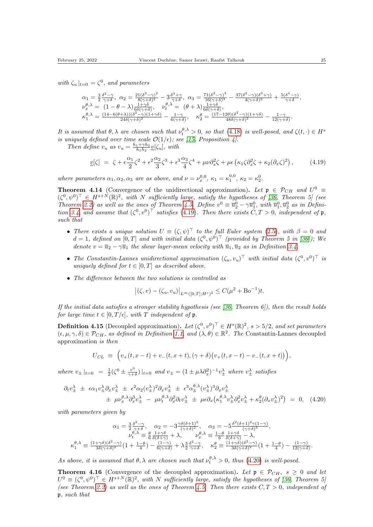with  $\zeta_u|_{t=0} = \zeta^0$ , and parameters

$$
\begin{array}{l} \alpha_1=\frac{3}{2}\frac{\delta^2-\gamma}{\gamma+\delta},\ \alpha_2=\frac{21(\delta^2-\gamma)^2}{8(\gamma+\delta)^2}-3\frac{\delta^3+\gamma}{\gamma+\delta},\ \alpha_3=\frac{71(\delta^2-\gamma)^3}{16(\gamma+\delta)^3}-\frac{37(\delta^2-\gamma)(\delta^3+\gamma)}{4(\gamma+\delta)^2}+\frac{5(\delta^4-\gamma)}{\gamma+\delta},\\ \nu_x^{\theta,\lambda}=\ (1-\theta-\lambda)\frac{1+\gamma\delta}{6\delta(\gamma+\delta)},\quad \nu_t^{\theta,\lambda}=\ (\theta+\lambda)\frac{1+\gamma\delta}{6\delta(\gamma+\delta)},\\ \kappa_1^{\theta,\lambda}=\frac{(14-6(\theta+\lambda))(\delta^2-\gamma)(1+\gamma\delta)}{24\delta(\gamma+\delta)^2}-\frac{1-\gamma}{6(\gamma+\delta)},\quad \kappa_2^{\theta}=\frac{(17-12\theta)(\delta^2-\gamma)(1+\gamma\delta)}{48\delta(\gamma+\delta)^2}-\frac{1-\gamma}{12(\gamma+\delta)}. \end{array}
$$

It is assumed that  $\theta, \lambda$  are chosen such that  $\nu_t^{\theta, \lambda} > 0$ , so that [\(4.18\)](#page-23-2) is well-posed, and  $\zeta(t, \cdot) \in H^s$ is uniquely defined over time scale  $\mathcal{O}(1/\epsilon)$ ; see [\[15,](#page-26-7) Proposition 4].

Then define  $v_u$  as  $v_u = \frac{h_1 + \gamma h_2}{h_1 h_2} v[\zeta_u]$ , with

<span id="page-24-0"></span>
$$
\underline{v}[\zeta] = \zeta + \epsilon \frac{\alpha_1}{2} \zeta^2 + \epsilon^2 \frac{\alpha_2}{3} \zeta^3 + \epsilon^3 \frac{\alpha_3}{4} \zeta^4 + \mu \nu \partial_x^2 \zeta + \mu \epsilon \left( \kappa_1 \zeta \partial_x^2 \zeta + \kappa_2 (\partial_x \zeta)^2 \right), \tag{4.19}
$$

where parameters  $\alpha_1, \alpha_2, \alpha_3$  are as above, and  $\nu = \nu_x^{0,0}, \kappa_1 = \kappa_1^{0,0}, \kappa_2 = \kappa_2^0$ .

**Theorem 4.14** (Convergence of the unidirectional approximation). Let  $\mathfrak{p} \in \mathcal{P}_{CH}$  and  $U^0 \equiv$  $(\zeta^0, \psi^0)^\top \in H^{s+N}(\mathbb{R})^2$ , with N sufficiently large, satisfy the hypotheses of [\[36,](#page-27-15) Theorem 5] (see Theorem [2.2\)](#page-7-0) as well as the ones of Theorem [4.5.](#page-18-1) Define  $v^0 \equiv \overline{u}_2^0 - \gamma \overline{u}_1^0$ , with  $\overline{u}_1^0, \overline{u}_2^0$  as in Defini-tion [3.4,](#page-8-2) and assume that  $(\zeta^0, v^0)^\top$  satisfies [\(4.19\)](#page-24-0). Then there exists  $C, T > 0$ , independent of p, such that

- There exists a unique solution  $U \equiv (\zeta, \psi)^{\top}$  to the full Euler system [\(2.5\)](#page-6-3), with  $\beta = 0$  and  $d=1$ , defined on  $[0,T]$  and with initial data  $(\zeta^0, \psi^0)^\top$  (provided by Theorem 5 in [\[36\]](#page-27-15)); We denote  $v = \overline{u}_2 - \gamma \overline{u}_1$  the shear layer-mean velocity with  $\overline{u}_1, \overline{u}_2$  as in Definition [3.4.](#page-8-2)
- The Constantin-Lannes unidirectional approximation  $((\zeta_u, v_u)^\top$  with initial data  $((\zeta^0, v^0)^\top)$  is uniquely defined for  $t \in [0, T]$  as described above.
- The difference between the two solutions is controlled as

<span id="page-24-1"></span>
$$
|(\zeta, v) - (\zeta_u, v_u)|_{L^{\infty}([0,T]; H^s)^2} \le C(\mu^2 + \text{Bo}^{-1})t.
$$

If the initial data satisfies a stronger stability hypothesis (see  $(36, Theorem 6)$ ), then the result holds for large time  $t \in [0, T/\epsilon]$ , with T independent of p.

**Definition 4.15** (Decoupled approximation). Let  $(\zeta^0, v^0)^\top \in H^s(\mathbb{R})^2$ ,  $s > 5/2$ , and set parameters  $(\epsilon, \mu, \gamma, \delta) \in \mathcal{P}_{CH}$ , as defined in Definition [1.1,](#page-3-0) and  $(\lambda, \theta) \in \mathbb{R}^2$ . The Constantin-Lannes decoupled approximation is then

$$
U_{CL} = (v_{+}(t, x-t) + v_{-}(t, x+t), (\gamma + \delta)(v_{+}(t, x-t) - v_{-}(t, x+t))),
$$

where  $v_{\pm}|_{t=0} = \frac{1}{2}(\zeta^0 \pm \frac{v^0}{\gamma + 1})$  $\frac{v^0}{\gamma+\delta}$ )  $|_{t=0}$  and  $v_{\pm} = (1 \pm \mu \lambda \partial_x^2)^{-1} v_{\pm}^{\lambda}$  where  $v_{\pm}^{\lambda}$  satisfies

$$
\partial_t v_{\pm}^{\lambda} \pm \epsilon \alpha_1 v_{\pm}^{\lambda} \partial_x v_{\pm}^{\lambda} \pm \epsilon^2 \alpha_2 (v_{\pm}^{\lambda})^2 \partial_x v_{\pm}^{\lambda} \pm \epsilon^3 \alpha_3^{\theta, \lambda} (v_{\pm}^{\lambda})^3 \partial_x v_{\pm}^{\lambda} \n\pm \mu \nu_x^{\theta, \lambda} \partial_x^3 v_{\pm}^{\lambda} - \mu \nu_t^{\theta, \lambda} \partial_x^2 \partial_t v_{\pm}^{\lambda} \pm \mu \epsilon \partial_x (\kappa_1^{\theta, \lambda} v_{\pm}^{\lambda} \partial_x^2 v_{\pm}^{\lambda} + \kappa_2^{\theta} (\partial_x v_{\pm}^{\lambda})^2) = 0, \quad (4.20)
$$

with parameters given by

$$
\alpha_1 = \frac{3}{2} \frac{\delta^2 - \gamma}{\gamma + \delta}, \quad \alpha_2 = -3 \frac{\gamma \delta (\delta + 1)^2}{(\gamma + \delta)^2}, \quad \alpha_3 = -5 \frac{\delta^2 (\delta + 1)^2 \gamma (1 - \gamma)}{(\gamma + \delta)^3},
$$

$$
\nu_t^{\theta, \lambda} \equiv \frac{\theta}{6} \frac{1 + \gamma \delta}{\delta (\delta + \gamma)} + \lambda, \qquad \nu_x^{\theta, \lambda} \equiv \frac{1 - \theta}{6} \frac{1 + \gamma \delta}{\delta (\delta + \gamma)} - \lambda,
$$

$$
\kappa_1^{\theta, \lambda} \equiv \frac{(1 + \gamma \delta)(\delta^2 - \gamma)}{3\delta (\gamma + \delta)^2} \left(1 + \frac{1 - \theta}{4}\right) - \frac{(1 - \gamma)}{6(\gamma + \delta)} + \lambda \frac{3}{2} \frac{\delta^2 - \gamma}{\gamma + \delta}, \quad \kappa_2^{\theta} \equiv \frac{(1 + \gamma \delta)(\delta^2 - \gamma)}{3\delta (\gamma + \delta)^2} \left(1 + \frac{1 - \theta}{4}\right) - \frac{(1 - \gamma)}{12(\gamma + \delta)}.
$$

As above, it is assumed that  $\theta$ ,  $\lambda$  are chosen such that  $\nu_t^{\theta,\lambda} > 0$ , thus [\(4.20\)](#page-24-1) is well-posed.

**Theorem 4.16** (Convergence of the decoupled approximation). Let  $\mathfrak{p} \in \mathcal{P}_{CH}$ ,  $s > 0$  and let  $U^0 \equiv (\zeta^0, \psi^0)^{\top} \in H^{s+N}(\mathbb{R})^2$ , with N sufficiently large, satisfy the hypotheses of [\[36,](#page-27-15) Theorem 5] (see Theorem [2.2\)](#page-7-0) as well as the ones of Theorem [4.5.](#page-18-1) Then there exists  $C, T > 0$ , independent of p, such that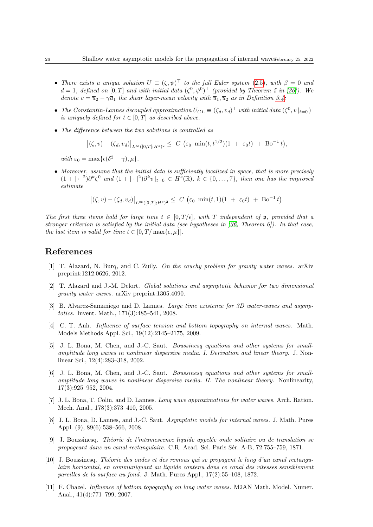- There exists a unique solution  $U \equiv (\zeta, \psi)^{\top}$  to the full Euler system [\(2.5\)](#page-6-3), with  $\beta = 0$  and  $d=1$ , defined on  $[0,T]$  and with initial data  $(\zeta^0, \psi^0)^\top$  (provided by Theorem 5 in [\[36\]](#page-27-15)). We denote  $v = \overline{u}_2 - \gamma \overline{u}_1$  the shear layer-mean velocity with  $\overline{u}_1, \overline{u}_2$  as in Definition [3.4;](#page-8-2)
- The Constantin-Lannes decoupled approximation  $U_{CL} \equiv (\zeta_d, v_d)^\top$  with initial data  $(\zeta^0, v|_{t=0})^\top$ is uniquely defined for  $t \in [0, T]$  as described above.
- The difference between the two solutions is controlled as

$$
|(\zeta, v) - (\zeta_d, v_d)|_{L^{\infty}([0,T]; H^s)^2} \leq C \left( \varepsilon_0 \min(t, t^{1/2})(1 + \varepsilon_0 t) + \text{Bo}^{-1} t \right),
$$

with  $\varepsilon_0 = \max{\{\epsilon(\delta^2 - \gamma), \mu\}}$ .

• Moreover, assume that the initial data is sufficiently localized in space, that is more precisely  $(1+|\cdot|^2)\partial^k\zeta^0$  and  $(1+|\cdot|^2)\partial^k v|_{t=0} \in H^s(\mathbb{R}), k \in \{0,\ldots,7\}$ , then one has the improved estimate

$$
|(\zeta, v) - (\zeta_d, v_d)|_{L^{\infty}([0,T]; H^s)^2} \leq C \left( \varepsilon_0 \min(t, 1)(1 + \varepsilon_0 t) + \text{Bo}^{-1} t \right).
$$

The first three items hold for large time  $t \in [0, T/\epsilon]$ , with T independent of p, provided that a stronger criterion is satisfied by the initial data (see hypotheses in  $(36,$  Theorem  $6$ )). In that case, the last item is valid for time  $t \in [0, T/\max\{\epsilon, \mu\}].$ 

### References

- <span id="page-25-0"></span>[1] T. Alazard, N. Burq, and C. Zuily. On the cauchy problem for gravity water waves. arXiv preprint:1212.0626, 2012.
- <span id="page-25-1"></span>[2] T. Alazard and J.-M. Delort. Global solutions and asymptotic behavior for two dimensional gravity water waves. arXiv preprint:1305.4090.
- <span id="page-25-4"></span>[3] B. Alvarez-Samaniego and D. Lannes. Large time existence for 3D water-waves and asymptotics. Invent. Math., 171(3):485–541, 2008.
- <span id="page-25-10"></span>[4] C. T. Anh. *Influence of surface tension and bottom topography on internal waves*. Math. Models Methods Appl. Sci., 19(12):2145–2175, 2009.
- <span id="page-25-5"></span>[5] J. L. Bona, M. Chen, and J.-C. Saut. Boussinesq equations and other systems for smallamplitude long waves in nonlinear dispersive media. I. Derivation and linear theory. J. Nonlinear Sci., 12(4):283–318, 2002.
- <span id="page-25-6"></span>[6] J. L. Bona, M. Chen, and J.-C. Saut. Boussinesq equations and other systems for smallamplitude long waves in nonlinear dispersive media. II. The nonlinear theory. Nonlinearity, 17(3):925–952, 2004.
- <span id="page-25-8"></span>[7] J. L. Bona, T. Colin, and D. Lannes. Long wave approximations for water waves. Arch. Ration. Mech. Anal., 178(3):373–410, 2005.
- <span id="page-25-9"></span>[8] J. L. Bona, D. Lannes, and J.-C. Saut. Asymptotic models for internal waves. J. Math. Pures Appl. (9), 89(6):538–566, 2008.
- <span id="page-25-2"></span> $[9]$  J. Boussinesq. Théorie de l'intumescence liquide appelée onde solitaire ou de translation se propageant dans un canal rectangulaire. C.R. Acad. Sci. Paris S´er. A-B, 72:755–759, 1871.
- <span id="page-25-3"></span> $[10]$  J. Boussinesq. Théorie des ondes et des remous qui se propagent le long d'un canal rectangulaire horizontal, en communiquant au liquide contenu dans ce canal des vitesses sensiblement pareilles de la surface au fond. J. Math. Pures Appl., 17(2):55–108, 1872.
- <span id="page-25-7"></span>[11] F. Chazel. Influence of bottom topography on long water waves. M2AN Math. Model. Numer. Anal., 41(4):771–799, 2007.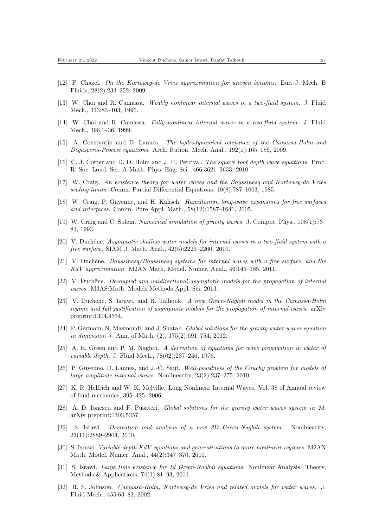- <span id="page-26-9"></span>[12] F. Chazel. On the Korteweg-de Vries approximation for uneven bottoms. Eur. J. Mech. B Fluids, 28(2):234–252, 2009.
- <span id="page-26-11"></span>[13] W. Choi and R. Camassa. Weakly nonlinear internal waves in a two-fluid system. J. Fluid Mech., 313:83–103, 1996.
- <span id="page-26-13"></span>[14] W. Choi and R. Camassa. Fully nonlinear internal waves in a two-fluid system. J. Fluid Mech., 396:1–36, 1999.
- <span id="page-26-7"></span>[15] A. Constantin and D. Lannes. The hydrodynamical relevance of the Camassa-Holm and Degasperis-Procesi equations. Arch. Ration. Mech. Anal., 192(1):165–186, 2009.
- <span id="page-26-20"></span>[16] C. J. Cotter and D. D. Holm and J. R. Percival. The square root depth wave equations. Proc. R. Soc. Lond. Ser. A Math. Phys. Eng. Sci., 466:3621–3633, 2010.
- <span id="page-26-0"></span>[17] W. Craig. An existence theory for water waves and the Boussinesq and Korteweg-de Vries scaling limits. Comm. Partial Differential Equations, 10(8):787–1003, 1985.
- <span id="page-26-12"></span>[18] W. Craig, P. Guyenne, and H. Kalisch. Hamiltonian long-wave expansions for free surfaces and interfaces. Comm. Pure Appl. Math., 58(12):1587–1641, 2005.
- <span id="page-26-19"></span>[19] W. Craig and C. Sulem. Numerical simulation of gravity waves. J. Comput. Phys., 108(1):73– 83, 1993.
- <span id="page-26-16"></span>[20] V. Duchêne. Asymptotic shallow water models for internal waves in a two-fluid system with a free surface. SIAM J. Math. Anal., 42(5):2229–2260, 2010.
- <span id="page-26-18"></span>[21] V. Duchêne. Boussinesq/Boussinesq systems for internal waves with a free surface, and the KdV approximation. M2AN Math. Model. Numer. Anal., 46:145–185, 2011.
- <span id="page-26-14"></span>[22] V. Duchêne. Decoupled and unidirectional asymptotic models for the propagation of internal waves. M3AS:Math. Models Methods Appl. Sci, 2013.
- <span id="page-26-15"></span>[23] V. Duchene, S. Israwi, and R. Talhouk. A new Green-Naghdi model in the Camassa-Holm regime and full justification of asymptotic models for the propagation of internal waves. arXiv preprint:1304.4554.
- <span id="page-26-1"></span>[24] P. Germain, N. Masmoudi, and J. Shatah. Global solutions for the gravity water waves equation in dimension 3. Ann. of Math. (2), 175(2):691–754, 2012.
- <span id="page-26-3"></span>[25] A. E. Green and P. M. Naghdi. A derivation of equations for wave propagation in water of variable depth. J. Fluid Mech., 78(02):237–246, 1976.
- <span id="page-26-17"></span>[26] P. Guyenne, D. Lannes, and J.-C. Saut. Well-posedness of the Cauchy problem for models of large amplitude internal waves. Nonlinearity, 23(2):237–275, 2010.
- <span id="page-26-10"></span>[27] K. R. Helfrich and W. K. Melville. Long Nonlinear Internal Waves. Vol. 38 of Annual review of fluid mechanics, 395–425, 2006.
- <span id="page-26-2"></span>[28] A. D. Ionescu and F. Pusateri. Global solutions for the gravity water waves system in 2d. arXiv preprint:1303.5357.
- <span id="page-26-4"></span>[29] S. Israwi. Derivation and analysis of a new 2D Green-Naghdi system. Nonlinearity, 23(11):2889–2904, 2010.
- <span id="page-26-8"></span>[30] S. Israwi. Variable depth KdV equations and generalizations to more nonlinear regimes. M2AN Math. Model. Numer. Anal., 44(2):347–370, 2010.
- <span id="page-26-5"></span>[31] S. Israwi. Large time existence for 1d Green-Naghdi equations. Nonlinear Analysis: Theory, Methods & Applications, 74(1):81–93, 2011.
- <span id="page-26-6"></span>[32] R. S. Johnson. Camassa-Holm, Korteweg-de Vries and related models for water waves. J. Fluid Mech., 455:63–82, 2002.